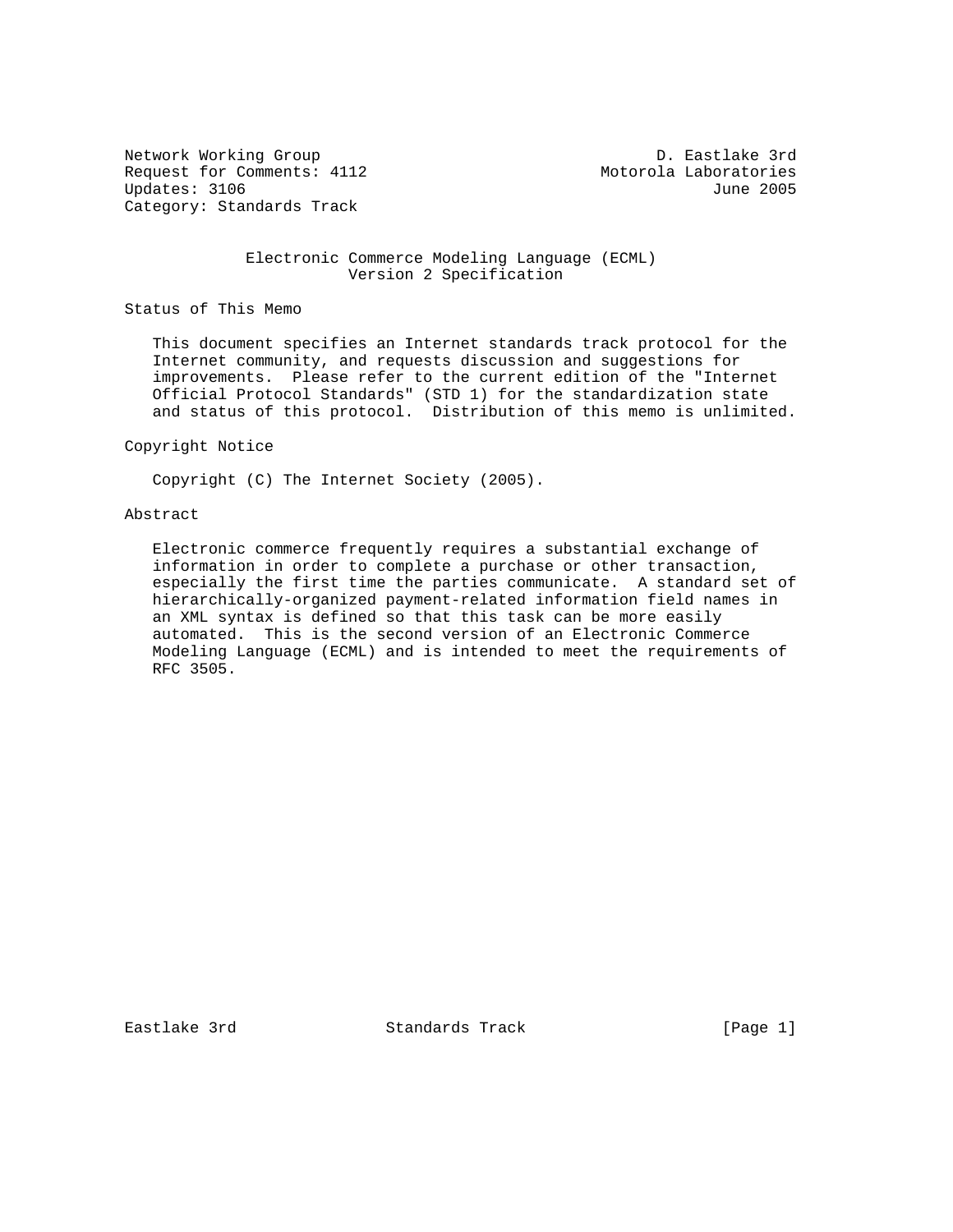Network Working Group D. Eastlake 3rd Request for Comments: 4112 Motorola Laboratories Updates: 3106 June 2005 Category: Standards Track

### Electronic Commerce Modeling Language (ECML) Version 2 Specification

Status of This Memo

 This document specifies an Internet standards track protocol for the Internet community, and requests discussion and suggestions for improvements. Please refer to the current edition of the "Internet Official Protocol Standards" (STD 1) for the standardization state and status of this protocol. Distribution of this memo is unlimited.

#### Copyright Notice

Copyright (C) The Internet Society (2005).

#### Abstract

 Electronic commerce frequently requires a substantial exchange of information in order to complete a purchase or other transaction, especially the first time the parties communicate. A standard set of hierarchically-organized payment-related information field names in an XML syntax is defined so that this task can be more easily automated. This is the second version of an Electronic Commerce Modeling Language (ECML) and is intended to meet the requirements of RFC 3505.

Eastlake 3rd Standards Track [Page 1]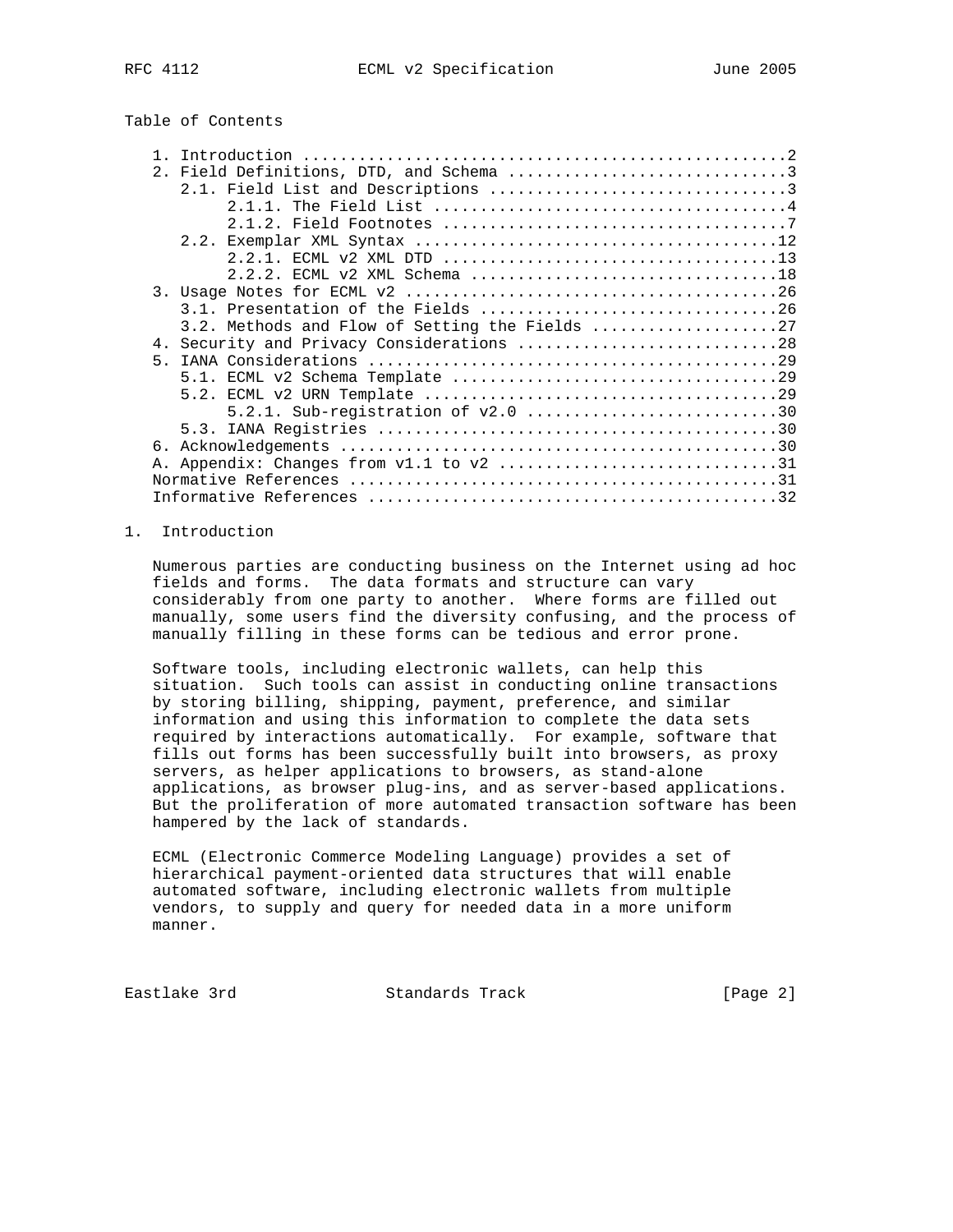|  |  |  | Table of Contents |
|--|--|--|-------------------|
|--|--|--|-------------------|

| 2. Field Definitions, DTD, and Schema 3     |  |
|---------------------------------------------|--|
|                                             |  |
|                                             |  |
|                                             |  |
|                                             |  |
|                                             |  |
| 2.2.2. ECML v2 XML Schema 18                |  |
|                                             |  |
|                                             |  |
| 3.2. Methods and Flow of Setting the Fields |  |
| 4. Security and Privacy Considerations 28   |  |
| 5 <sub>1</sub>                              |  |
|                                             |  |
|                                             |  |
| 5.2.1. Sub-registration of $v2.0$ 30        |  |
|                                             |  |
| б.                                          |  |
|                                             |  |
|                                             |  |
|                                             |  |

# 1. Introduction

 Numerous parties are conducting business on the Internet using ad hoc fields and forms. The data formats and structure can vary considerably from one party to another. Where forms are filled out manually, some users find the diversity confusing, and the process of manually filling in these forms can be tedious and error prone.

 Software tools, including electronic wallets, can help this situation. Such tools can assist in conducting online transactions by storing billing, shipping, payment, preference, and similar information and using this information to complete the data sets required by interactions automatically. For example, software that fills out forms has been successfully built into browsers, as proxy servers, as helper applications to browsers, as stand-alone applications, as browser plug-ins, and as server-based applications. But the proliferation of more automated transaction software has been hampered by the lack of standards.

 ECML (Electronic Commerce Modeling Language) provides a set of hierarchical payment-oriented data structures that will enable automated software, including electronic wallets from multiple vendors, to supply and query for needed data in a more uniform manner.

Eastlake 3rd Standards Track [Page 2]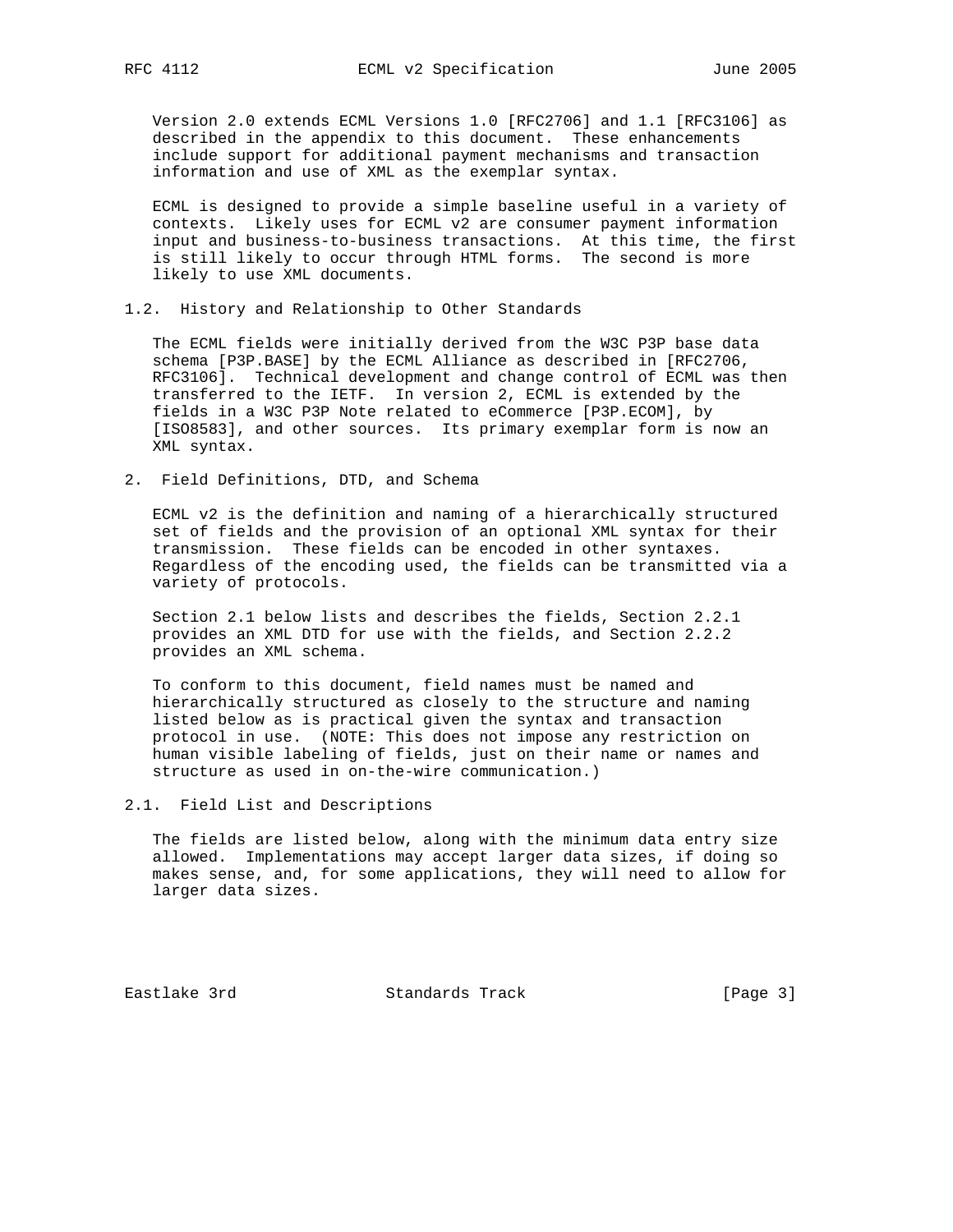Version 2.0 extends ECML Versions 1.0 [RFC2706] and 1.1 [RFC3106] as described in the appendix to this document. These enhancements include support for additional payment mechanisms and transaction information and use of XML as the exemplar syntax.

 ECML is designed to provide a simple baseline useful in a variety of contexts. Likely uses for ECML v2 are consumer payment information input and business-to-business transactions. At this time, the first is still likely to occur through HTML forms. The second is more likely to use XML documents.

1.2. History and Relationship to Other Standards

 The ECML fields were initially derived from the W3C P3P base data schema [P3P.BASE] by the ECML Alliance as described in [RFC2706, RFC3106]. Technical development and change control of ECML was then transferred to the IETF. In version 2, ECML is extended by the fields in a W3C P3P Note related to eCommerce [P3P.ECOM], by [ISO8583], and other sources. Its primary exemplar form is now an XML syntax.

2. Field Definitions, DTD, and Schema

 ECML v2 is the definition and naming of a hierarchically structured set of fields and the provision of an optional XML syntax for their transmission. These fields can be encoded in other syntaxes. Regardless of the encoding used, the fields can be transmitted via a variety of protocols.

 Section 2.1 below lists and describes the fields, Section 2.2.1 provides an XML DTD for use with the fields, and Section 2.2.2 provides an XML schema.

 To conform to this document, field names must be named and hierarchically structured as closely to the structure and naming listed below as is practical given the syntax and transaction protocol in use. (NOTE: This does not impose any restriction on human visible labeling of fields, just on their name or names and structure as used in on-the-wire communication.)

2.1. Field List and Descriptions

 The fields are listed below, along with the minimum data entry size allowed. Implementations may accept larger data sizes, if doing so makes sense, and, for some applications, they will need to allow for larger data sizes.

Eastlake 3rd Standards Track [Page 3]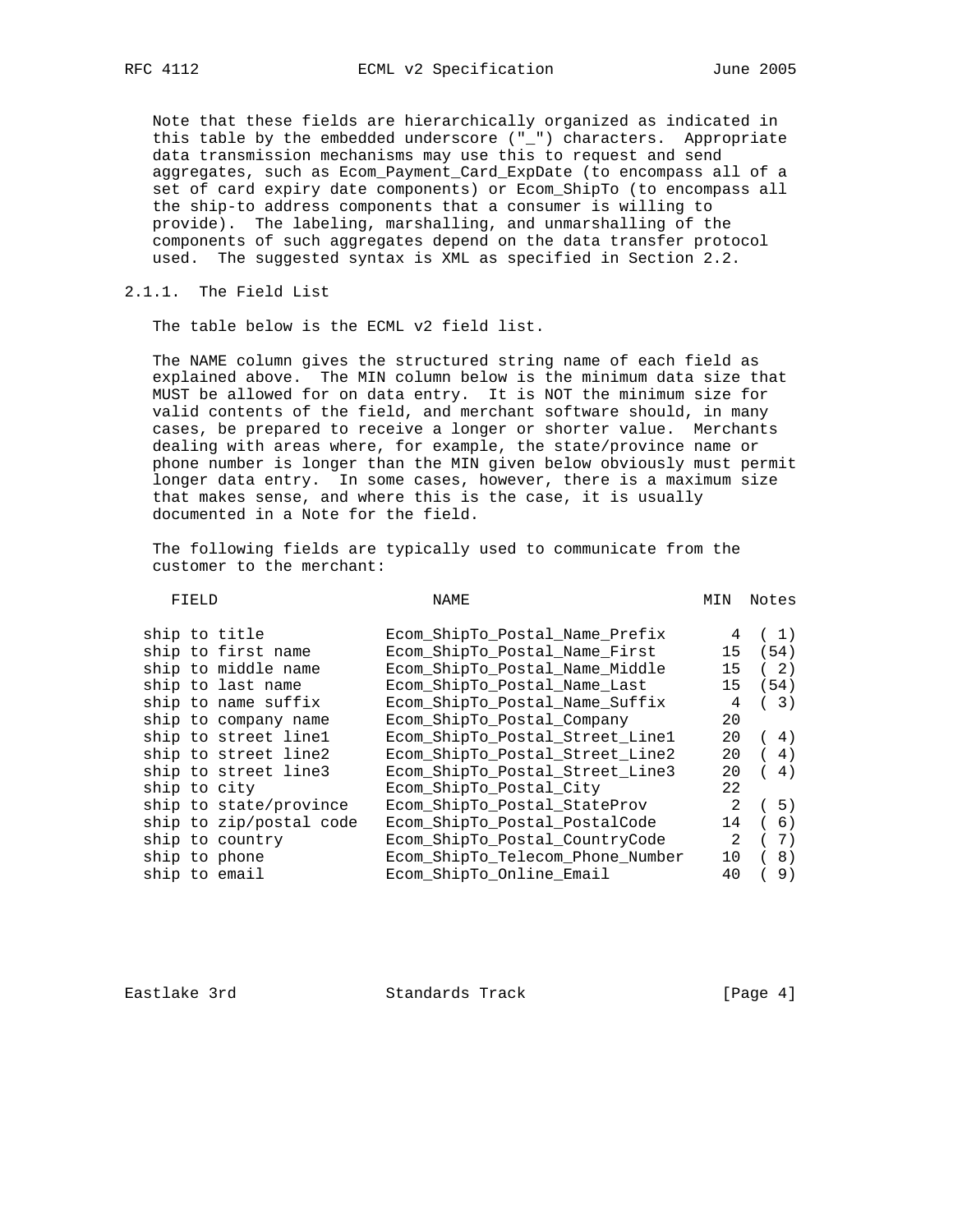Note that these fields are hierarchically organized as indicated in this table by the embedded underscore ("\_") characters. Appropriate data transmission mechanisms may use this to request and send aggregates, such as Ecom\_Payment\_Card\_ExpDate (to encompass all of a set of card expiry date components) or Ecom\_ShipTo (to encompass all the ship-to address components that a consumer is willing to provide). The labeling, marshalling, and unmarshalling of the components of such aggregates depend on the data transfer protocol used. The suggested syntax is XML as specified in Section 2.2.

2.1.1. The Field List

The table below is the ECML v2 field list.

 The NAME column gives the structured string name of each field as explained above. The MIN column below is the minimum data size that MUST be allowed for on data entry. It is NOT the minimum size for valid contents of the field, and merchant software should, in many cases, be prepared to receive a longer or shorter value. Merchants dealing with areas where, for example, the state/province name or phone number is longer than the MIN given below obviously must permit longer data entry. In some cases, however, there is a maximum size that makes sense, and where this is the case, it is usually documented in a Note for the field.

 The following fields are typically used to communicate from the customer to the merchant:

| FIELD                   | NAME                             | MIN           | Notes |
|-------------------------|----------------------------------|---------------|-------|
| ship to title           | Ecom ShipTo Postal Name Prefix   | 4             | (1)   |
| ship to first name      | Ecom ShipTo Postal Name First    | 15            | (54)  |
| ship to middle name     | Ecom ShipTo Postal Name Middle   | 15            | (2)   |
| ship to last name       | Ecom_ShipTo_Postal_Name_Last     | 15            | (54)  |
| ship to name suffix     | Ecom_ShipTo_Postal_Name_Suffix   | 4             | (3)   |
| ship to company name    | Ecom ShipTo Postal Company       | 20            |       |
| ship to street linel    | Ecom_ShipTo_Postal_Street_Line1  | 20            | (4)   |
| ship to street line2    | Ecom_ShipTo_Postal_Street_Line2  | 20            | 4)    |
| ship to street line3    | Ecom ShipTo Postal Street Line3  | 20            | 4)    |
| ship to city            | Ecom ShipTo Postal City          | 22            |       |
| ship to state/province  | Ecom ShipTo Postal StateProv     | 2             | (5)   |
| ship to zip/postal code | Ecom ShipTo Postal PostalCode    | 14            | 6)    |
| ship to country         | Ecom_ShipTo_Postal_CountryCode   | $\mathcal{L}$ | 7)    |
| ship to phone           | Ecom_ShipTo_Telecom_Phone_Number | 10            | 8)    |
| ship to email           | Ecom ShipTo Online Email         | 40            | 9)    |
|                         |                                  |               |       |

Eastlake 3rd Standards Track [Page 4]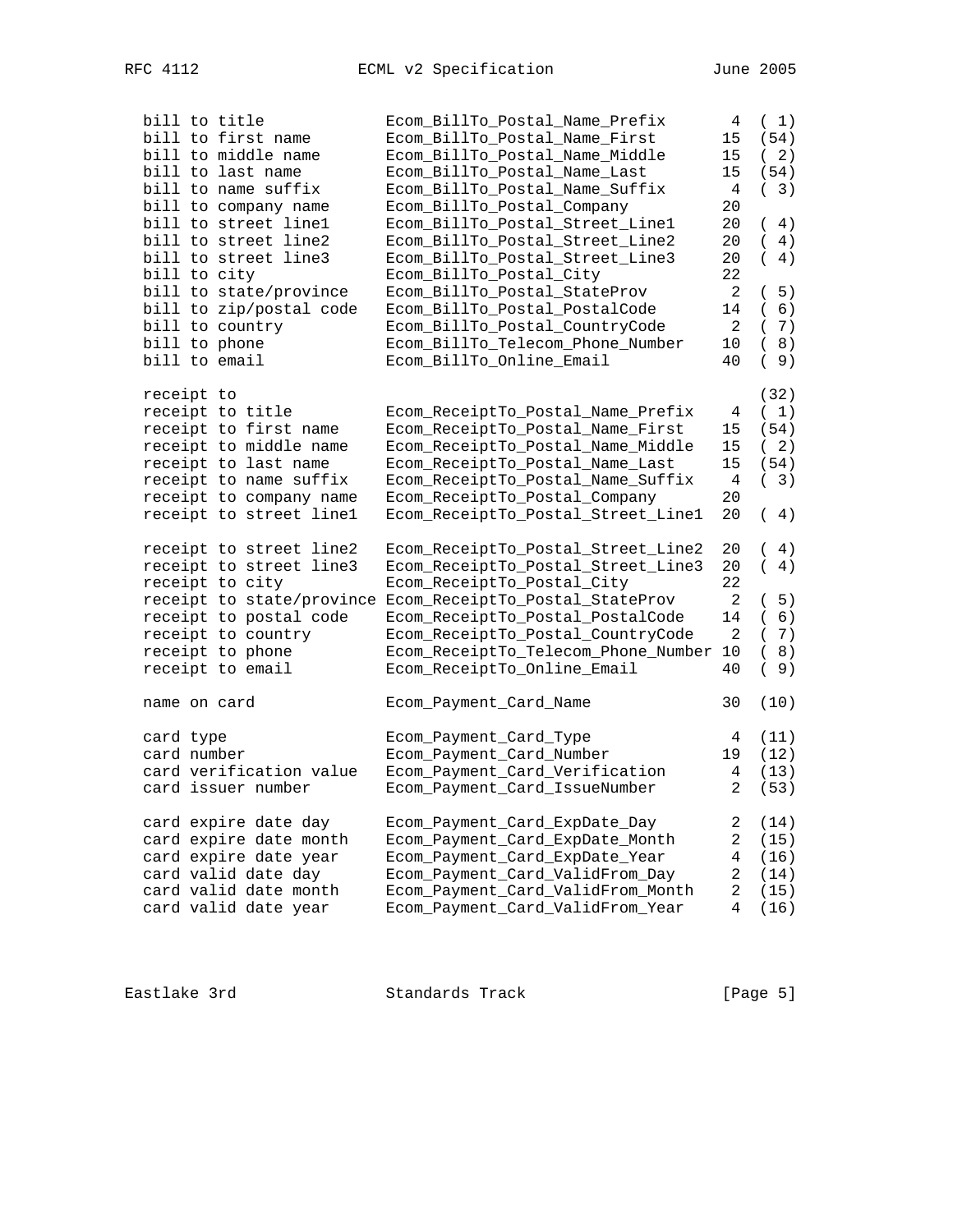| bill to title             | Ecom_BillTo_Postal_Name_Prefix      | 4                       | (1)            |
|---------------------------|-------------------------------------|-------------------------|----------------|
| bill to first name        | Ecom_BillTo_Postal_Name_First       | 15                      | (54)           |
| bill to middle name       | Ecom_BillTo_Postal_Name_Middle      | 15                      | 2)<br>$\left($ |
| bill to last name         | Ecom_BillTo_Postal_Name_Last        | 15                      | (54)           |
| bill to name suffix       | Ecom_BillTo_Postal_Name_Suffix      | 4                       | (3)            |
| bill to company name      | Ecom_BillTo_Postal_Company          | 20                      |                |
| bill to street line1      | Ecom_BillTo_Postal_Street_Line1     | 20                      | 4)<br>$\left($ |
| bill to street line2      | Ecom_BillTo_Postal_Street_Line2     | 20                      | 4)<br>$\left($ |
| bill to street line3      | Ecom_BillTo_Postal_Street_Line3     | 20                      | 4)<br>$\left($ |
| bill to city              | Ecom_BillTo_Postal_City             | 22                      |                |
| bill to state/province    | Ecom_BillTo_Postal_StateProv        | 2                       | (5)            |
| bill to zip/postal code   | Ecom_BillTo_Postal_PostalCode       | 14                      | 6)<br>$\left($ |
| bill to country           | Ecom_BillTo_Postal_CountryCode      | 2                       | 7)<br>$\left($ |
| bill to phone             | Ecom_BillTo_Telecom_Phone_Number    | 10                      | 8)<br>$\left($ |
| bill to email             | Ecom_BillTo_Online_Email            | 40                      | 9)<br>$\left($ |
|                           |                                     |                         |                |
| receipt to                |                                     |                         | (32)           |
| receipt to title          | Ecom_ReceiptTo_Postal_Name_Prefix   | 4                       | (1)            |
| receipt to first name     | Ecom_ReceiptTo_Postal_Name_First    | 15                      | (54)           |
| receipt to middle name    | Ecom_ReceiptTo_Postal_Name_Middle   | 15                      | (2)            |
| receipt to last name      | Ecom_ReceiptTo_Postal_Name_Last     | 15                      | (54)           |
| receipt to name suffix    | Ecom_ReceiptTo_Postal_Name_Suffix   | 4                       | (3)            |
| receipt to company name   | Ecom_ReceiptTo_Postal_Company       | 20                      |                |
| receipt to street linel   | Ecom_ReceiptTo_Postal_Street_Line1  | 20                      | 4)<br>$\left($ |
|                           |                                     |                         |                |
| receipt to street line2   | Ecom_ReceiptTo_Postal_Street_Line2  | 20                      | 4)<br>$\left($ |
| receipt to street line3   | Ecom_ReceiptTo_Postal_Street_Line3  | 20                      | 4)<br>$\left($ |
| receipt to city           | Ecom_ReceiptTo_Postal_City          | 22                      |                |
| receipt to state/province | Ecom_ReceiptTo_Postal_StateProv     | 2                       | 5)<br>$\left($ |
| receipt to postal code    | Ecom_ReceiptTo_Postal_PostalCode    | 14                      | 6)<br>$\left($ |
| receipt to country        | Ecom_ReceiptTo_Postal_CountryCode   | 2                       | 7)<br>$\left($ |
| receipt to phone          | Ecom_ReceiptTo_Telecom_Phone_Number | 10                      | 8)<br>$\left($ |
| receipt to email          | Ecom_ReceiptTo_Online_Email         | 40                      | 9)<br>$\left($ |
|                           |                                     |                         |                |
| name on card              | Ecom_Payment_Card_Name              | 30                      | (10)           |
|                           |                                     |                         |                |
| card type                 | Ecom_Payment_Card_Type              | 4                       | (11)           |
| card number               | Ecom_Payment_Card_Number            | 19                      | (12)           |
| card verification value   | Ecom_Payment_Card_Verification      | $\overline{4}$          | (13)           |
| card issuer number        | Ecom_Payment_Card_IssueNumber       | $\mathbf{2}$            | (53)           |
|                           |                                     |                         |                |
| card expire date day      | Ecom_Payment_Card_ExpDate_Day       | $\overline{\mathbf{c}}$ | (14)           |
| card expire date month    | Ecom_Payment_Card_ExpDate_Month     | $\mathbf 2$             | (15)           |
| card expire date year     | Ecom_Payment_Card_ExpDate_Year      | $\,4$                   | (16)           |
| card valid date day       | Ecom_Payment_Card_ValidFrom_Day     | $\overline{c}$          | (14)           |
| card valid date month     | Ecom_Payment_Card_ValidFrom_Month   | $\sqrt{2}$              | (15)           |
| card valid date year      | Ecom_Payment_Card_ValidFrom_Year    | 4                       | (16)           |
|                           |                                     |                         |                |
|                           |                                     |                         |                |

Eastlake 3rd Standards Track [Page 5]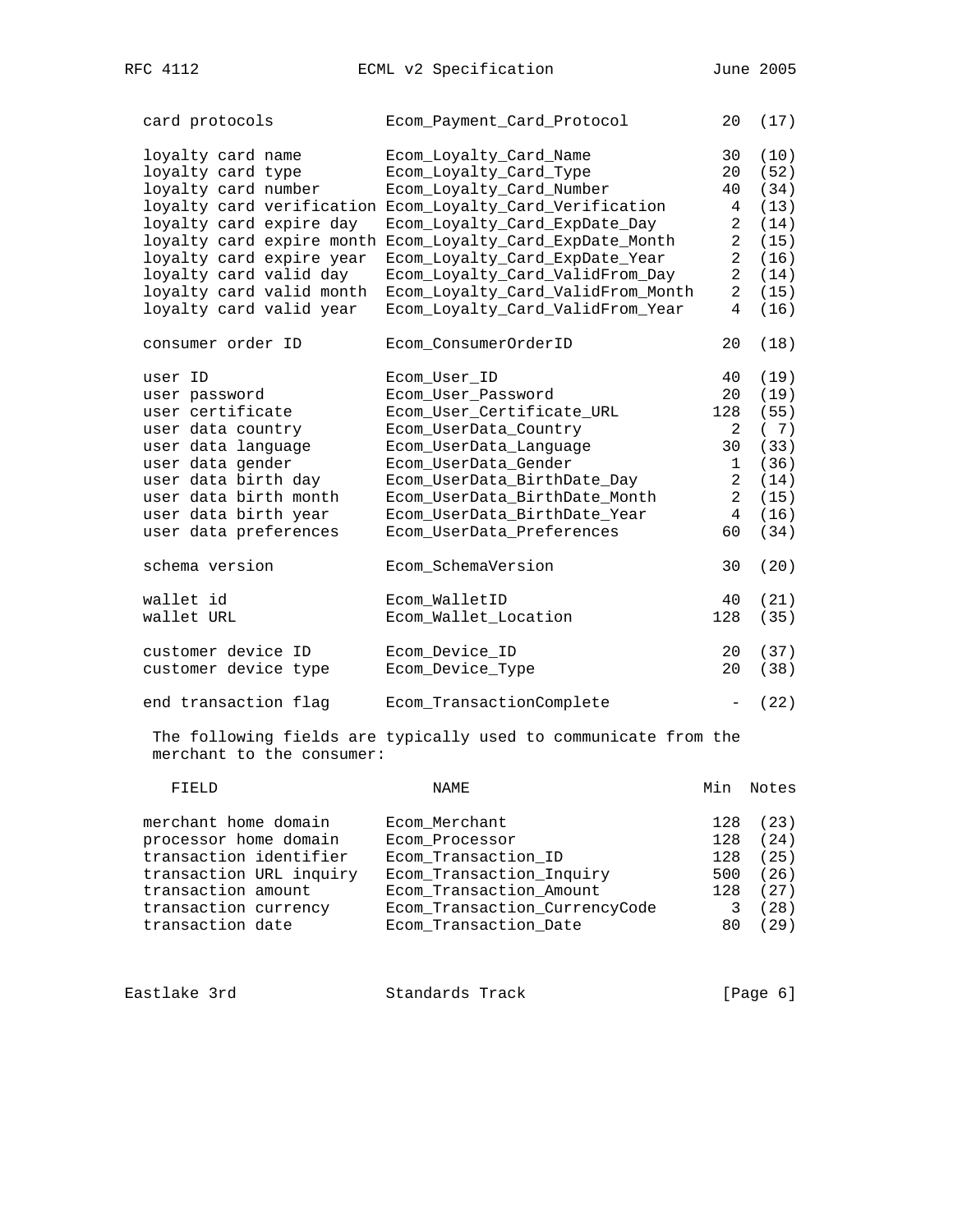card protocols Ecom\_Payment\_Card\_Protocol 20 (17)

| loyalty card name         | Ecom Loyalty Card Name                                          | 30                       | (10)  |
|---------------------------|-----------------------------------------------------------------|--------------------------|-------|
| loyalty card type         | Ecom_Loyalty_Card_Type                                          | 20                       | (52)  |
| loyalty card number       | Ecom_Loyalty_Card_Number                                        | 40                       | (34)  |
|                           | loyalty card verification Ecom_Loyalty_Card_Verification        | 4                        | (13)  |
| loyalty card expire day   | Ecom_Loyalty_Card_ExpDate_Day                                   | 2                        | (14)  |
|                           | loyalty card expire month Ecom_Loyalty_Card_ExpDate_Month       | 2                        | (15)  |
| loyalty card expire year  | Ecom_Loyalty_Card_ExpDate_Year                                  | $\overline{a}$           | (16)  |
| loyalty card valid day    | Ecom_Loyalty_Card_ValidFrom_Day                                 | $\overline{a}$           | (14)  |
| loyalty card valid month  | Ecom_Loyalty_Card_ValidFrom_Month                               | 2                        | (15)  |
| loyalty card valid year   | Ecom_Loyalty_Card_ValidFrom_Year                                | 4                        | (16)  |
|                           |                                                                 |                          |       |
| consumer order ID         | Ecom ConsumerOrderID                                            | 20                       | (18)  |
| user ID                   | Ecom User ID                                                    | 40                       | (19)  |
| user password             | Ecom_User_Password                                              | 20                       | (19)  |
| user certificate          | Ecom_User_Certificate_URL                                       | 128                      | (55)  |
| user data country         | Ecom_UserData_Country                                           | 2                        | (7)   |
| user data language        | Ecom_UserData_Language                                          | 30                       | (33)  |
| user data gender          | Ecom_UserData_Gender                                            | 1                        | (36)  |
| user data birth day       | Ecom_UserData_BirthDate_Day                                     | $\overline{2}$           | (14)  |
| user data birth month     | Ecom_UserData_BirthDate_Month                                   | $\overline{a}$           | (15)  |
| user data birth year      | Ecom_UserData_BirthDate_Year                                    | 4                        | (16)  |
|                           |                                                                 | 60                       |       |
| user data preferences     | Ecom_UserData_Preferences                                       |                          | (34)  |
| schema version            | Ecom_SchemaVersion                                              | 30                       | (20)  |
| wallet id                 | Ecom_WalletID                                                   | 40                       | (21)  |
| wallet URL                | Ecom_Wallet_Location                                            | 128                      | (35)  |
|                           |                                                                 |                          |       |
| customer device ID        | Ecom_Device_ID                                                  | 20                       | (37)  |
| customer device type      | Ecom_Device_Type                                                | 20                       | (38)  |
| end transaction flag      | Ecom_TransactionComplete                                        | $\overline{\phantom{a}}$ | (22)  |
| merchant to the consumer: | The following fields are typically used to communicate from the |                          |       |
| FIELD                     | <b>NAME</b>                                                     | Min                      | Notes |
|                           |                                                                 |                          |       |

| merchant home domain<br>Ecom Merchant                 |      | 128 (23) |
|-------------------------------------------------------|------|----------|
| processor home domain<br>Ecom Processor               | 128  | (24)     |
| transaction identifier<br>Ecom Transaction ID         | 128  | (25)     |
| Ecom Transaction Inquiry<br>transaction URL inquiry   | 500  | (26)     |
| Ecom Transaction Amount<br>transaction amount         |      | 128 (27) |
| Ecom_Transaction_CurrencyCode<br>transaction currency |      | (28)     |
| transaction date<br>Ecom Transaction Date             | 80 - | (29)     |

| Eastlake 3rd | Standards Track | [Page 6] |  |
|--------------|-----------------|----------|--|
|              |                 |          |  |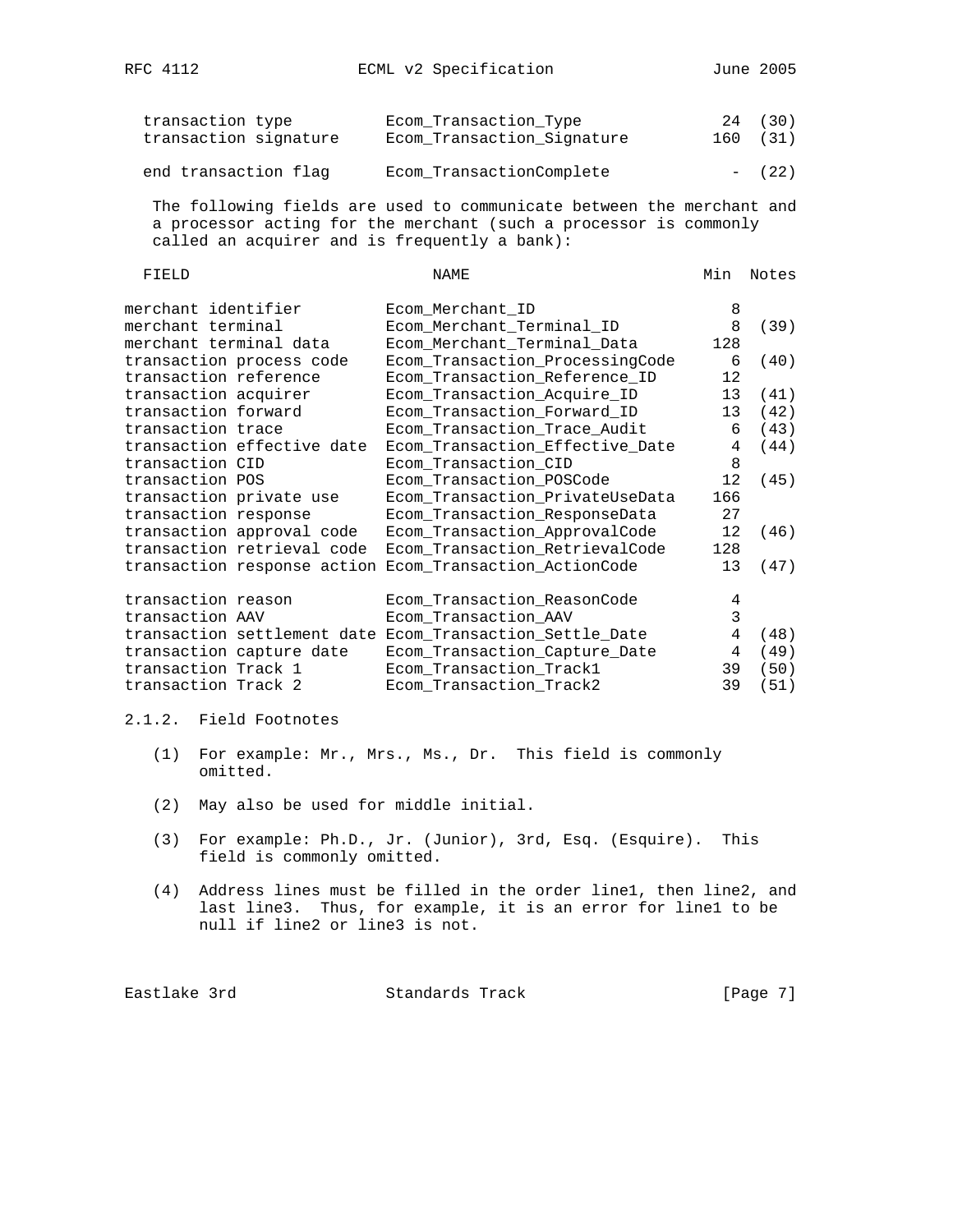| transaction type<br>transaction signature | Ecom Transaction Type<br>Ecom Transaction Signature | 24 (30)<br>160 (31) |
|-------------------------------------------|-----------------------------------------------------|---------------------|
| end transaction flag                      | Ecom TransactionComplete                            | $- (22)$            |

 The following fields are used to communicate between the merchant and a processor acting for the merchant (such a processor is commonly called an acquirer and is frequently a bank):

| NAME                            | Min                                                                                                                                                                                                                                                                               | Notes |
|---------------------------------|-----------------------------------------------------------------------------------------------------------------------------------------------------------------------------------------------------------------------------------------------------------------------------------|-------|
|                                 | 8                                                                                                                                                                                                                                                                                 |       |
|                                 | 8                                                                                                                                                                                                                                                                                 | (39)  |
|                                 | 128                                                                                                                                                                                                                                                                               |       |
|                                 | 6                                                                                                                                                                                                                                                                                 | (40)  |
|                                 | 12                                                                                                                                                                                                                                                                                |       |
|                                 | 13                                                                                                                                                                                                                                                                                | (41)  |
|                                 | 13                                                                                                                                                                                                                                                                                | (42)  |
|                                 | 6                                                                                                                                                                                                                                                                                 | (43)  |
| Ecom_Transaction_Effective_Date | 4                                                                                                                                                                                                                                                                                 | (44)  |
| Ecom_Transaction_CID            | 8                                                                                                                                                                                                                                                                                 |       |
| Ecom_Transaction_POSCode        | 12                                                                                                                                                                                                                                                                                | (45)  |
|                                 | 166                                                                                                                                                                                                                                                                               |       |
| Ecom_Transaction_ResponseData   | 27                                                                                                                                                                                                                                                                                |       |
| Ecom_Transaction_ApprovalCode   | 12                                                                                                                                                                                                                                                                                | (46)  |
| Ecom_Transaction_RetrievalCode  | 128                                                                                                                                                                                                                                                                               |       |
| Ecom Transaction ActionCode     | 13                                                                                                                                                                                                                                                                                | (47)  |
|                                 |                                                                                                                                                                                                                                                                                   |       |
| Ecom_Transaction_ReasonCode     | 4                                                                                                                                                                                                                                                                                 |       |
| Ecom_Transaction_AAV            | 3                                                                                                                                                                                                                                                                                 |       |
| Ecom_Transaction_Settle_Date    | 4                                                                                                                                                                                                                                                                                 | (48)  |
| Ecom_Transaction_Capture_Date   | 4                                                                                                                                                                                                                                                                                 | (49)  |
| Ecom_Transaction_Track1         | 39                                                                                                                                                                                                                                                                                | (50)  |
| Ecom_Transaction_Track2         | 39                                                                                                                                                                                                                                                                                | (51)  |
|                                 | Ecom Merchant ID<br>Ecom_Merchant_Terminal_ID<br>Ecom_Merchant_Terminal_Data<br>Ecom_Transaction_ProcessingCode<br>Ecom_Transaction_Reference_ID<br>Ecom_Transaction_Acquire_ID<br>Ecom_Transaction_Forward_ID<br>Ecom_Transaction_Trace_Audit<br>Ecom_Transaction_PrivateUseData |       |

# 2.1.2. Field Footnotes

- (1) For example: Mr., Mrs., Ms., Dr. This field is commonly omitted.
- (2) May also be used for middle initial.
- (3) For example: Ph.D., Jr. (Junior), 3rd, Esq. (Esquire). This field is commonly omitted.
- (4) Address lines must be filled in the order line1, then line2, and last line3. Thus, for example, it is an error for line1 to be null if line2 or line3 is not.

Eastlake 3rd Standards Track [Page 7]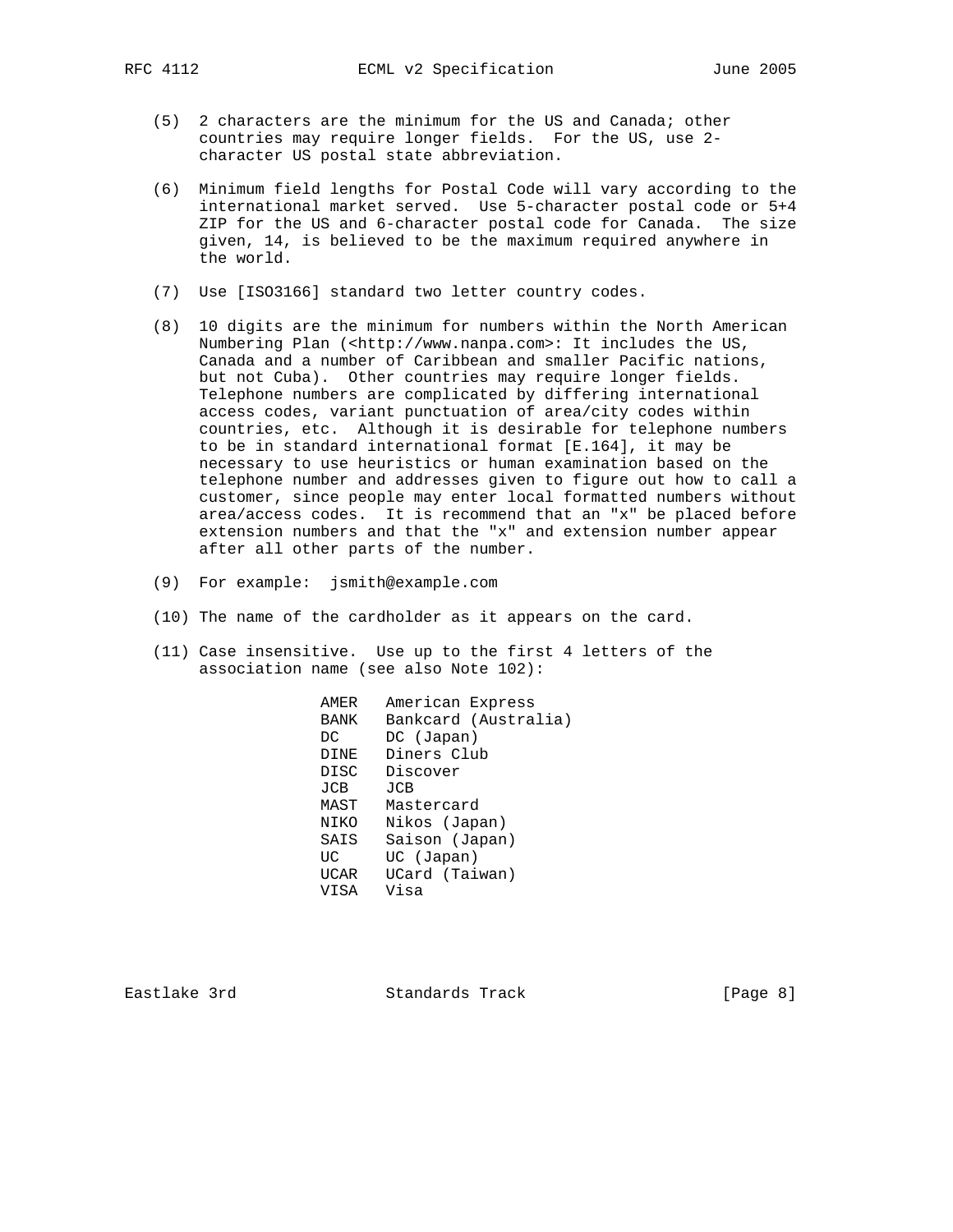- (5) 2 characters are the minimum for the US and Canada; other countries may require longer fields. For the US, use 2 character US postal state abbreviation.
- (6) Minimum field lengths for Postal Code will vary according to the international market served. Use 5-character postal code or 5+4 ZIP for the US and 6-character postal code for Canada. The size given, 14, is believed to be the maximum required anywhere in the world.
- (7) Use [ISO3166] standard two letter country codes.
- (8) 10 digits are the minimum for numbers within the North American Numbering Plan (<http://www.nanpa.com>: It includes the US, Canada and a number of Caribbean and smaller Pacific nations, but not Cuba). Other countries may require longer fields. Telephone numbers are complicated by differing international access codes, variant punctuation of area/city codes within countries, etc. Although it is desirable for telephone numbers to be in standard international format [E.164], it may be necessary to use heuristics or human examination based on the telephone number and addresses given to figure out how to call a customer, since people may enter local formatted numbers without area/access codes. It is recommend that an "x" be placed before extension numbers and that the "x" and extension number appear after all other parts of the number.
- (9) For example: jsmith@example.com
- (10) The name of the cardholder as it appears on the card.
- (11) Case insensitive. Use up to the first 4 letters of the association name (see also Note 102):

 AMER American Express BANK Bankcard (Australia) DC DC (Japan) DINE Diners Club DISC Discover<br>JCB JCB  $JCB$  MAST Mastercard NIKO Nikos (Japan) SAIS Saison (Japan) UC UC (Japan) UCAR UCard (Taiwan) VISA Visa

Eastlake 3rd Standards Track [Page 8]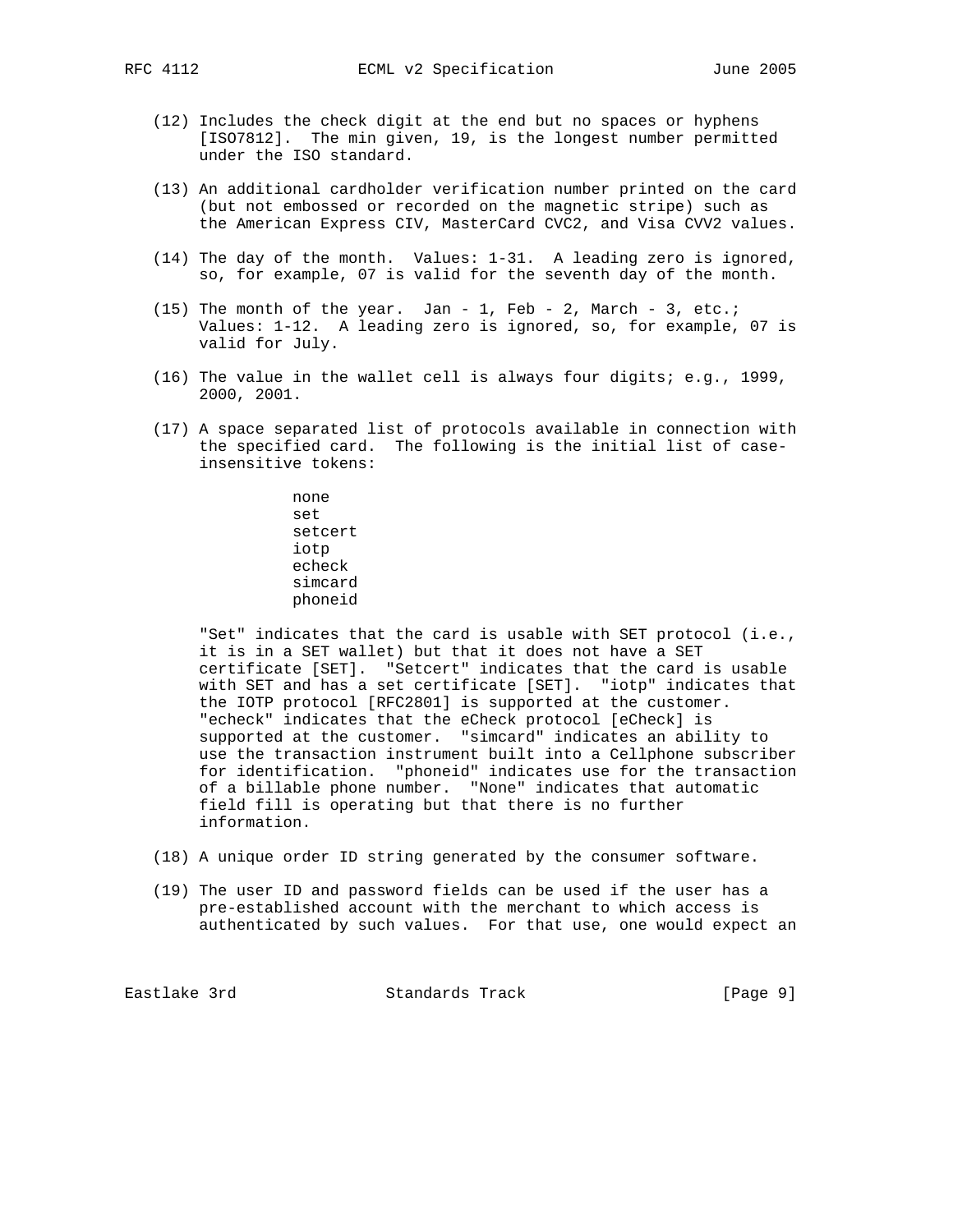- (12) Includes the check digit at the end but no spaces or hyphens [ISO7812]. The min given, 19, is the longest number permitted under the ISO standard.
- (13) An additional cardholder verification number printed on the card (but not embossed or recorded on the magnetic stripe) such as the American Express CIV, MasterCard CVC2, and Visa CVV2 values.
- (14) The day of the month. Values: 1-31. A leading zero is ignored, so, for example, 07 is valid for the seventh day of the month.
- (15) The month of the year. Jan 1, Feb 2, March 3, etc.; Values: 1-12. A leading zero is ignored, so, for example, 07 is valid for July.
- (16) The value in the wallet cell is always four digits; e.g., 1999, 2000, 2001.
- (17) A space separated list of protocols available in connection with the specified card. The following is the initial list of case insensitive tokens:

 none set setcert iotp echeck simcard phoneid

 "Set" indicates that the card is usable with SET protocol (i.e., it is in a SET wallet) but that it does not have a SET certificate [SET]. "Setcert" indicates that the card is usable with SET and has a set certificate [SET]. "iotp" indicates that the IOTP protocol [RFC2801] is supported at the customer. "echeck" indicates that the eCheck protocol [eCheck] is supported at the customer. "simcard" indicates an ability to use the transaction instrument built into a Cellphone subscriber for identification. "phoneid" indicates use for the transaction of a billable phone number. "None" indicates that automatic field fill is operating but that there is no further information.

- (18) A unique order ID string generated by the consumer software.
- (19) The user ID and password fields can be used if the user has a pre-established account with the merchant to which access is authenticated by such values. For that use, one would expect an

Eastlake 3rd Standards Track [Page 9]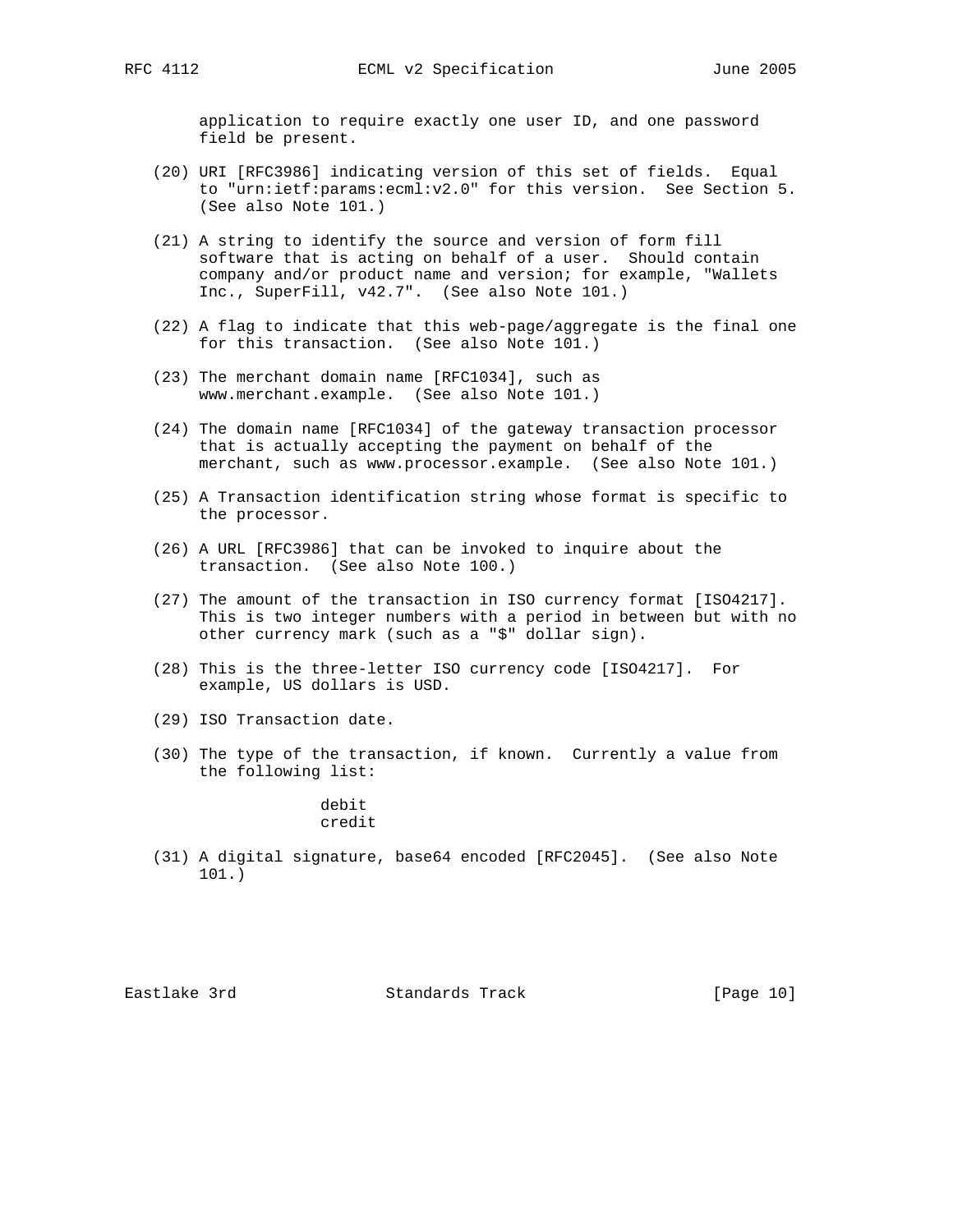application to require exactly one user ID, and one password field be present.

- (20) URI [RFC3986] indicating version of this set of fields. Equal to "urn:ietf:params:ecml:v2.0" for this version. See Section 5. (See also Note 101.)
- (21) A string to identify the source and version of form fill software that is acting on behalf of a user. Should contain company and/or product name and version; for example, "Wallets Inc., SuperFill, v42.7". (See also Note 101.)
- (22) A flag to indicate that this web-page/aggregate is the final one for this transaction. (See also Note 101.)
- (23) The merchant domain name [RFC1034], such as www.merchant.example. (See also Note 101.)
- (24) The domain name [RFC1034] of the gateway transaction processor that is actually accepting the payment on behalf of the merchant, such as www.processor.example. (See also Note 101.)
- (25) A Transaction identification string whose format is specific to the processor.
- (26) A URL [RFC3986] that can be invoked to inquire about the transaction. (See also Note 100.)
- (27) The amount of the transaction in ISO currency format [ISO4217]. This is two integer numbers with a period in between but with no other currency mark (such as a "\$" dollar sign).
- (28) This is the three-letter ISO currency code [ISO4217]. For example, US dollars is USD.
- (29) ISO Transaction date.
- (30) The type of the transaction, if known. Currently a value from the following list:

 debit credit

 (31) A digital signature, base64 encoded [RFC2045]. (See also Note 101.)

Eastlake 3rd Standards Track [Page 10]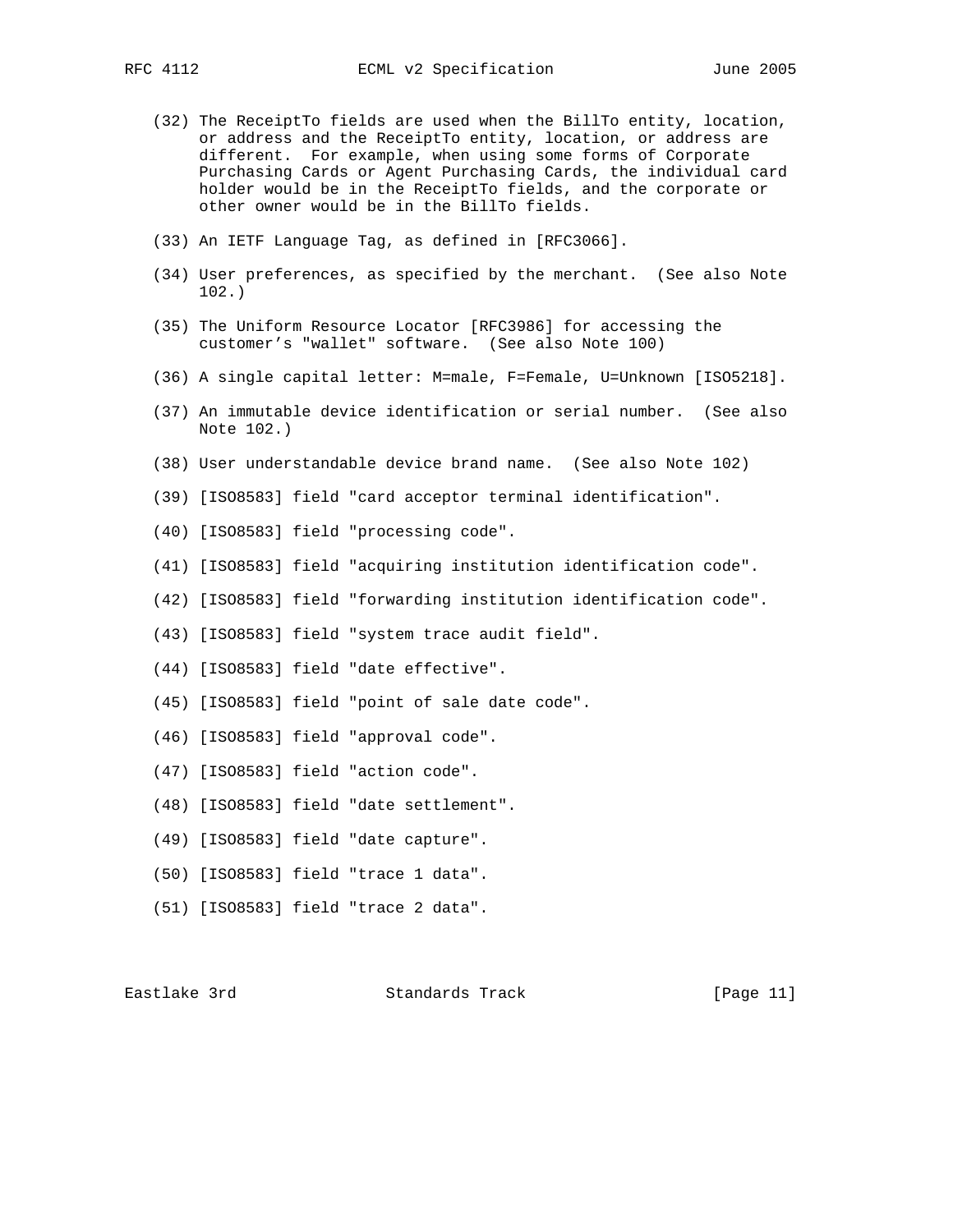- 
- (32) The ReceiptTo fields are used when the BillTo entity, location, or address and the ReceiptTo entity, location, or address are different. For example, when using some forms of Corporate Purchasing Cards or Agent Purchasing Cards, the individual card holder would be in the ReceiptTo fields, and the corporate or other owner would be in the BillTo fields.
- (33) An IETF Language Tag, as defined in [RFC3066].
- (34) User preferences, as specified by the merchant. (See also Note 102.)
- (35) The Uniform Resource Locator [RFC3986] for accessing the customer's "wallet" software. (See also Note 100)
- (36) A single capital letter: M=male, F=Female, U=Unknown [ISO5218].
- (37) An immutable device identification or serial number. (See also Note 102.)
- (38) User understandable device brand name. (See also Note 102)
- (39) [ISO8583] field "card acceptor terminal identification".
- (40) [ISO8583] field "processing code".
- (41) [ISO8583] field "acquiring institution identification code".
- (42) [ISO8583] field "forwarding institution identification code".
- (43) [ISO8583] field "system trace audit field".
- (44) [ISO8583] field "date effective".
- (45) [ISO8583] field "point of sale date code".
- (46) [ISO8583] field "approval code".
- (47) [ISO8583] field "action code".
- (48) [ISO8583] field "date settlement".
- (49) [ISO8583] field "date capture".
- (50) [ISO8583] field "trace 1 data".
- (51) [ISO8583] field "trace 2 data".

Eastlake 3rd Standards Track [Page 11]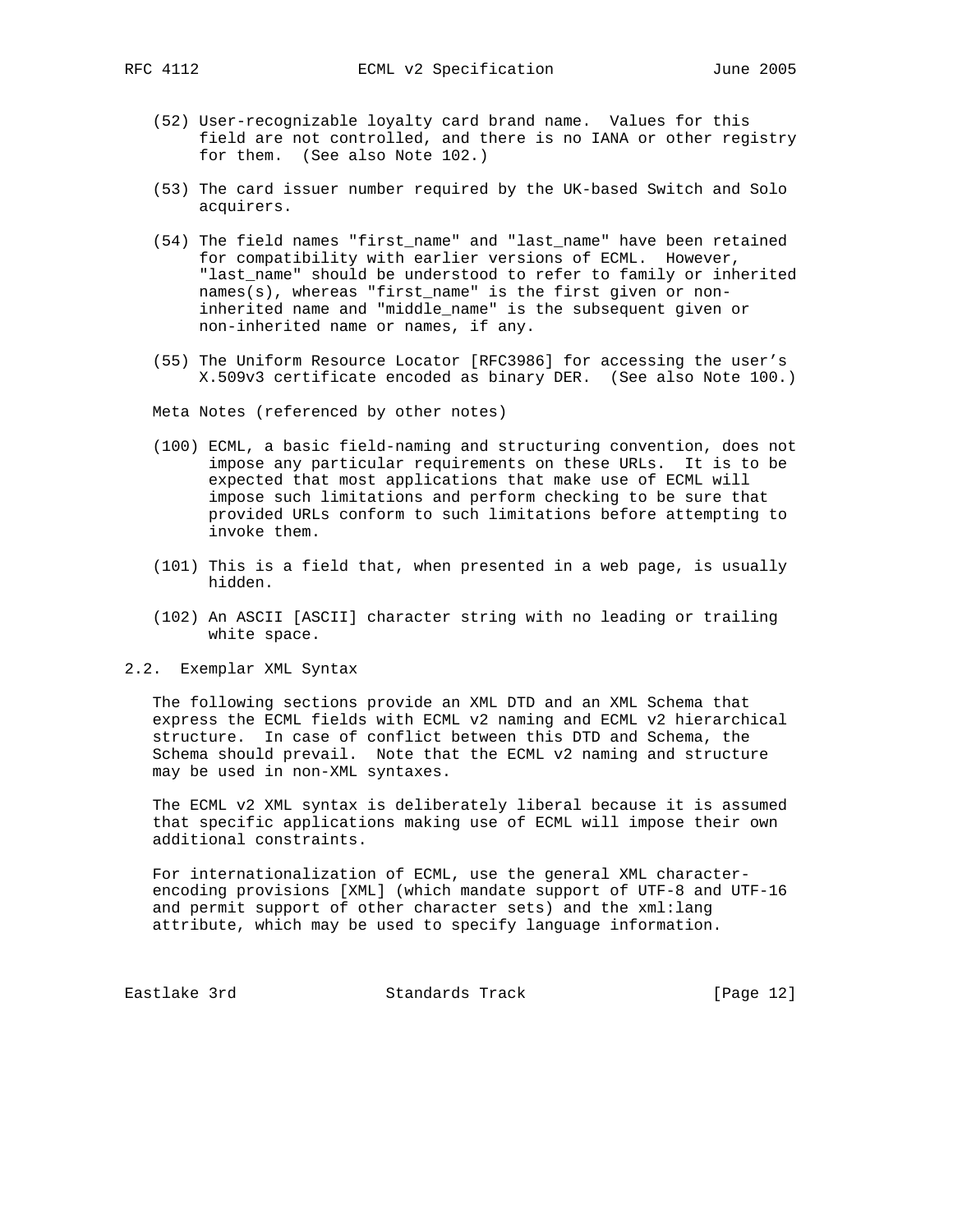- - (52) User-recognizable loyalty card brand name. Values for this field are not controlled, and there is no IANA or other registry for them. (See also Note 102.)
	- (53) The card issuer number required by the UK-based Switch and Solo acquirers.
	- (54) The field names "first\_name" and "last\_name" have been retained for compatibility with earlier versions of ECML. However, "last\_name" should be understood to refer to family or inherited names(s), whereas "first\_name" is the first given or non inherited name and "middle\_name" is the subsequent given or non-inherited name or names, if any.
	- (55) The Uniform Resource Locator [RFC3986] for accessing the user's X.509v3 certificate encoded as binary DER. (See also Note 100.)

Meta Notes (referenced by other notes)

- (100) ECML, a basic field-naming and structuring convention, does not impose any particular requirements on these URLs. It is to be expected that most applications that make use of ECML will impose such limitations and perform checking to be sure that provided URLs conform to such limitations before attempting to invoke them.
- (101) This is a field that, when presented in a web page, is usually hidden.
- (102) An ASCII [ASCII] character string with no leading or trailing white space.
- 2.2. Exemplar XML Syntax

 The following sections provide an XML DTD and an XML Schema that express the ECML fields with ECML v2 naming and ECML v2 hierarchical structure. In case of conflict between this DTD and Schema, the Schema should prevail. Note that the ECML v2 naming and structure may be used in non-XML syntaxes.

 The ECML v2 XML syntax is deliberately liberal because it is assumed that specific applications making use of ECML will impose their own additional constraints.

 For internationalization of ECML, use the general XML character encoding provisions [XML] (which mandate support of UTF-8 and UTF-16 and permit support of other character sets) and the xml:lang attribute, which may be used to specify language information.

Eastlake 3rd Standards Track [Page 12]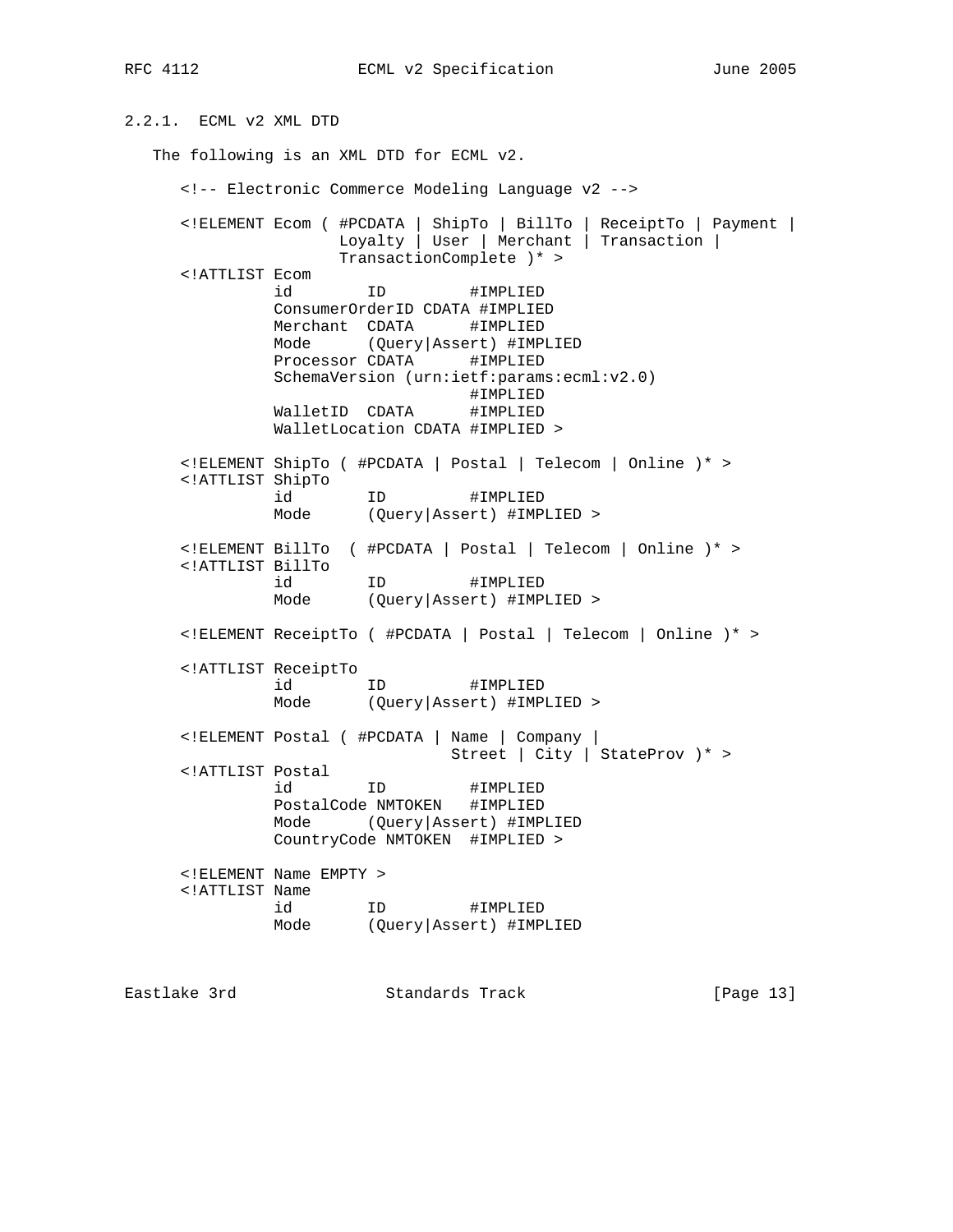RFC 4112 CML v2 Specification June 2005

2.2.1. ECML v2 XML DTD The following is an XML DTD for ECML v2. <!-- Electronic Commerce Modeling Language v2 --> <!ELEMENT Ecom ( #PCDATA | ShipTo | BillTo | ReceiptTo | Payment | Loyalty | User | Merchant | Transaction | TransactionComplete )\* > <!ATTLIST Ecom id ID #IMPLIED ConsumerOrderID CDATA #IMPLIED Merchant CDATA #IMPLIED Mode (Query|Assert) #IMPLIED Processor CDATA #IMPLIED SchemaVersion (urn:ietf:params:ecml:v2.0) #IMPLIED<br>#IMPLIED WalletID CDATA WalletLocation CDATA #IMPLIED > <!ELEMENT ShipTo ( #PCDATA | Postal | Telecom | Online )\* > <!ATTLIST ShipTo id ID #IMPLIED Mode (Query|Assert) #IMPLIED > <!ELEMENT BillTo ( #PCDATA | Postal | Telecom | Online )\* > <!ATTLIST BillTo id ID #IMPLIED Mode (Query|Assert) #IMPLIED > <!ELEMENT ReceiptTo ( #PCDATA | Postal | Telecom | Online )\* > <!ATTLIST ReceiptTo id ID #IMPLIED Mode (Query|Assert) #IMPLIED > <!ELEMENT Postal ( #PCDATA | Name | Company | Street | City | StateProv )\* > <!ATTLIST Postal id ID #IMPLIED PostalCode NMTOKEN #IMPLIED Mode (Query|Assert) #IMPLIED CountryCode NMTOKEN #IMPLIED > <!ELEMENT Name EMPTY > <!ATTLIST Name id ID #IMPLIED Mode (Query|Assert) #IMPLIED

Eastlake 3rd Standards Track [Page 13]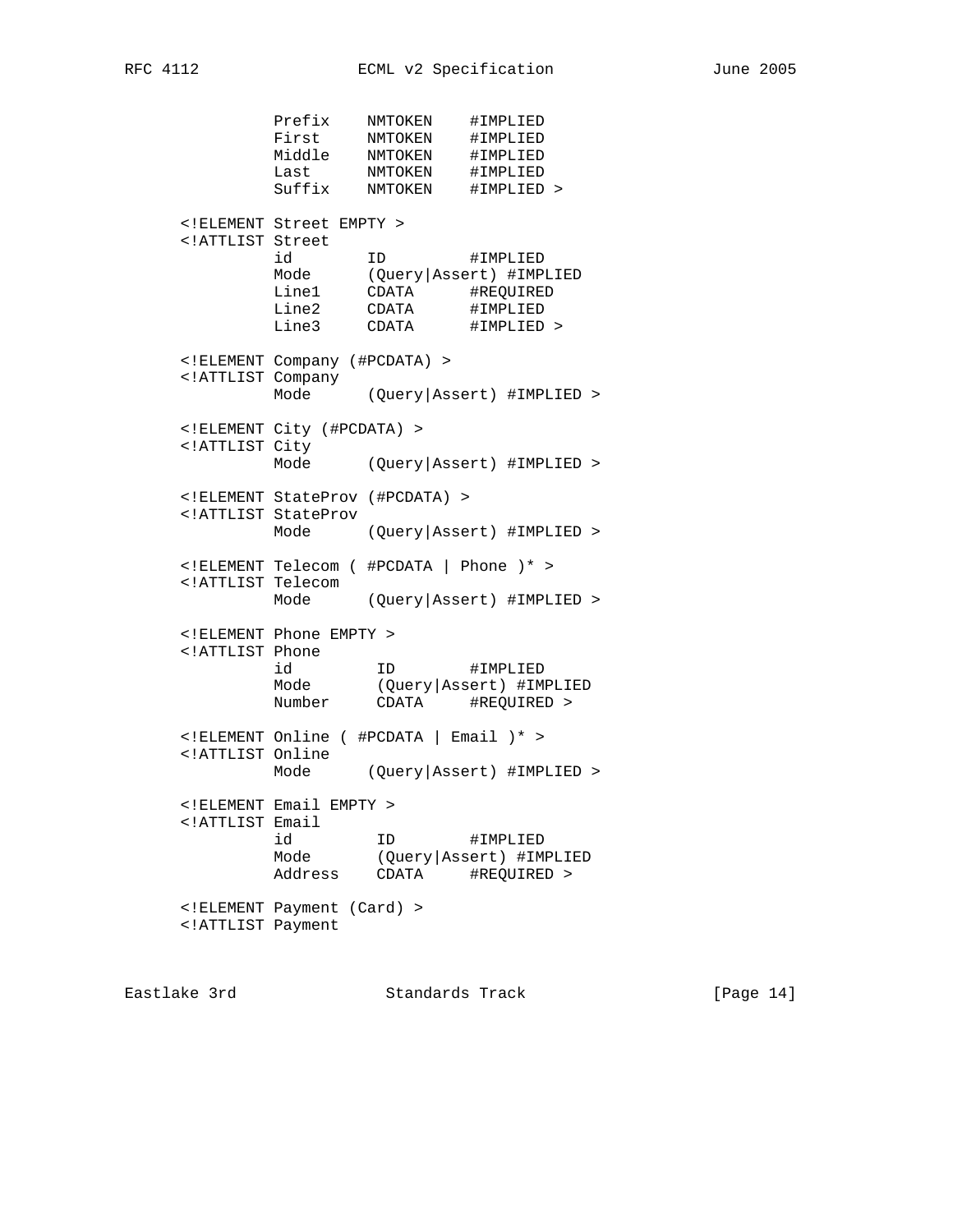Prefix NMTOKEN #IMPLIED First NMTOKEN #IMPLIED Middle NMTOKEN #IMPLIED Last NMTOKEN #IMPLIED Suffix NMTOKEN #IMPLIED > <!ELEMENT Street EMPTY > <!ATTLIST Street id ID #IMPLIED Mode (Query|Assert) #IMPLIED Line1 CDATA #REQUIRED Line2 CDATA #IMPLIED Line3 CDATA #IMPLIED > <!ELEMENT Company (#PCDATA) > <!ATTLIST Company Mode (Query|Assert) #IMPLIED > <!ELEMENT City (#PCDATA) > <!ATTLIST City Mode (Query|Assert) #IMPLIED > <!ELEMENT StateProv (#PCDATA) > <!ATTLIST StateProv Mode (Query|Assert) #IMPLIED > <!ELEMENT Telecom ( #PCDATA | Phone )\* > <!ATTLIST Telecom Mode (Query|Assert) #IMPLIED > <!ELEMENT Phone EMPTY > <!ATTLIST Phone id ID #IMPLIED Mode (Query|Assert) #IMPLIED Number CDATA #REQUIRED > <!ELEMENT Online ( #PCDATA | Email )\* > <!ATTLIST Online Mode (Query|Assert) #IMPLIED > <!ELEMENT Email EMPTY > <!ATTLIST Email id ID #IMPLIED Mode (Query|Assert) #IMPLIED Address CDATA #REQUIRED > <!ELEMENT Payment (Card) > <!ATTLIST Payment

Eastlake 3rd Standards Track [Page 14]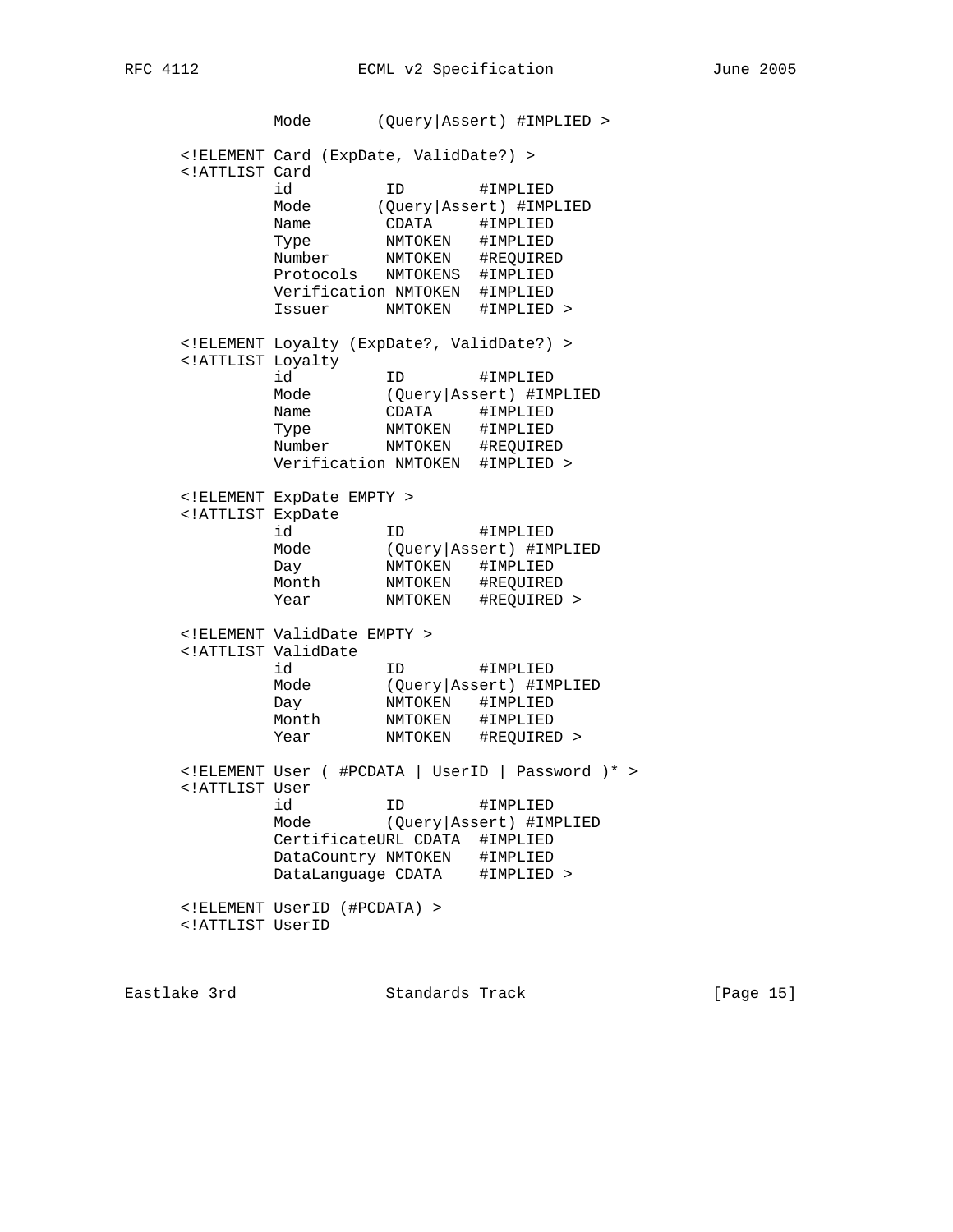|                                                                                                                                                                                                                                                                                                                                    | Mode                                                                                                                          |                                                         | (Query   Assert) #IMPLIED >                                                           |
|------------------------------------------------------------------------------------------------------------------------------------------------------------------------------------------------------------------------------------------------------------------------------------------------------------------------------------|-------------------------------------------------------------------------------------------------------------------------------|---------------------------------------------------------|---------------------------------------------------------------------------------------|
| ATTLIST Card</td <td><!-- ELEMENT Card (ExpDate, ValidDate?) --><br/>id<br/>Mode<br/>Name<br/>Type<br/>Number<br/>Protocols<br/>Verification NMTOKEN</td> <td>ID<br/>CDATA<br/>NMTOKEN<br/>NMTOKEN #REQUIRED<br/>NMTOKENS</td> <td>#IMPLIED<br/>(Query   Assert) #IMPLIED<br/>#IMPLIED<br/>#IMPLIED<br/>#IMPLIED<br/>#IMPLIED</td> | ELEMENT Card (ExpDate, ValidDate?)<br>id<br>Mode<br>Name<br>Type<br>Number<br>Protocols<br>Verification NMTOKEN               | ID<br>CDATA<br>NMTOKEN<br>NMTOKEN #REQUIRED<br>NMTOKENS | #IMPLIED<br>(Query   Assert) #IMPLIED<br>#IMPLIED<br>#IMPLIED<br>#IMPLIED<br>#IMPLIED |
|                                                                                                                                                                                                                                                                                                                                    | Issuer                                                                                                                        | NMTOKEN                                                 | #IMPLIED >                                                                            |
| ATTLIST Loyalty</td <td><!--ELEMENT Loyalty (ExpDate?, ValidDate?) --><br/>id<br/>Mode<br/>Name<br/>Type<br/>Number<br/>Verification NMTOKEN #IMPLIED &gt;</td> <td>ID<br/>CDATA<br/>NMTOKEN<br/>NMTOKEN #REQUIRED</td> <td>#IMPLIED<br/>(Query   Assert) #IMPLIED<br/>#IMPLIED<br/>#IMPLIED</td>                                  | ELEMENT Loyalty (ExpDate?, ValidDate?)<br>id<br>Mode<br>Name<br>Type<br>Number<br>Verification NMTOKEN #IMPLIED >             | ID<br>CDATA<br>NMTOKEN<br>NMTOKEN #REQUIRED             | #IMPLIED<br>(Query   Assert) #IMPLIED<br>#IMPLIED<br>#IMPLIED                         |
| ATTLIST ExpDate</td <td><!-- ELEMENT ExpDate EMPTY --><br/>id<br/>Mode<br/>Day<br/>Month<br/>Year</td> <td>ID<br/>NMTOKEN<br/>NMTOKEN<br/>NMTOKEN</td> <td>#IMPLIED<br/>(Query   Assert) #IMPLIED<br/>#IMPLIED<br/>#REQUIRED<br/>#REQUIRED &gt;</td>                                                                               | ELEMENT ExpDate EMPTY<br>id<br>Mode<br>Day<br>Month<br>Year                                                                   | ID<br>NMTOKEN<br>NMTOKEN<br>NMTOKEN                     | #IMPLIED<br>(Query   Assert) #IMPLIED<br>#IMPLIED<br>#REQUIRED<br>#REQUIRED >         |
|                                                                                                                                                                                                                                                                                                                                    | ELEMENT ValidDate EMPTY<br>ATTLIST ValidDate<br id<br>Mode<br>Day<br>Month<br>Year                                            | ID<br>NMTOKEN<br>NMTOKEN<br>NMTOKEN                     | #IMPLIED<br>(Query   Assert) #IMPLIED<br>#IMPLIED<br>#IMPLIED<br>#REQUIRED >          |
| ATTLIST User</td <td><!--ELEMENT User ( #PCDATA   UserID  <br-->id<br/>Mode<br/>CertificateURL CDATA #IMPLIED<br/>DataCountry NMTOKEN<br/>DataLanguage CDATA</td> <td>ΙD</td> <td>Password <math>)*</math> &gt;<br/>#IMPLIED<br/>(Query   Assert) #IMPLIED<br/>#IMPLIED<br/>#IMPLIED &gt;</td>                                     | ELEMENT User ( #PCDATA   UserID  <br id<br>Mode<br>CertificateURL CDATA #IMPLIED<br>DataCountry NMTOKEN<br>DataLanguage CDATA | ΙD                                                      | Password $)*$ ><br>#IMPLIED<br>(Query   Assert) #IMPLIED<br>#IMPLIED<br>#IMPLIED >    |
| ATTLIST UserID</td <td><!--ELEMENT UserID (#PCDATA) --></td> <td></td> <td></td>                                                                                                                                                                                                                                                   | ELEMENT UserID (#PCDATA)                                                                                                      |                                                         |                                                                                       |

Eastlake 3rd Standards Track [Page 15]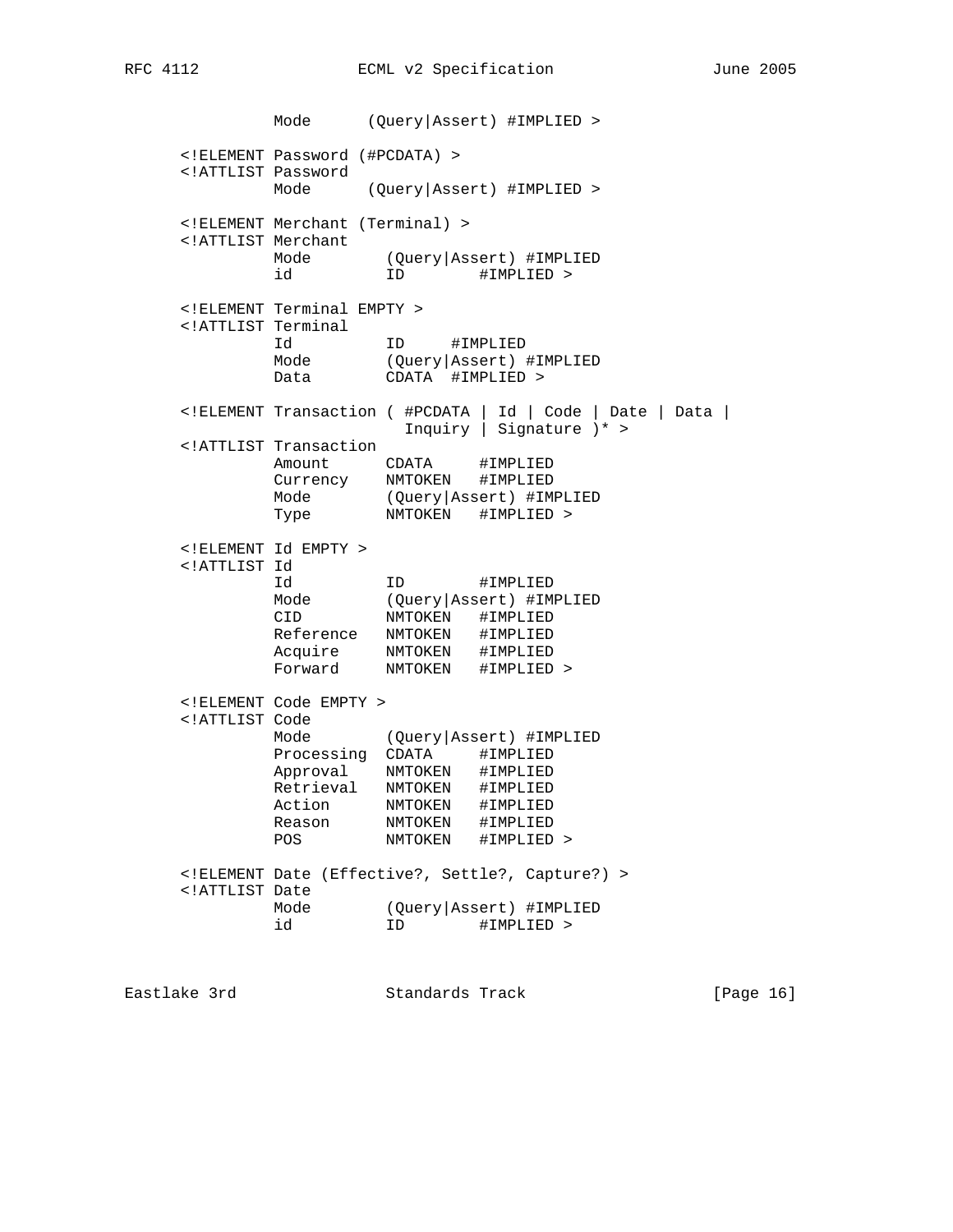Mode (Query|Assert) #IMPLIED > <!ELEMENT Password (#PCDATA) > <!ATTLIST Password Mode (Query|Assert) #IMPLIED > <!ELEMENT Merchant (Terminal) > <!ATTLIST Merchant Mode (Query|Assert) #IMPLIED id iD #IMPLIED > <!ELEMENT Terminal EMPTY > <!ATTLIST Terminal Id ID #IMPLIED Mode (Query|Assert) #IMPLIED Data CDATA #IMPLIED > <!ELEMENT Transaction ( #PCDATA | Id | Code | Date | Data | Inquiry | Signature )\* > <!ATTLIST Transaction Amount CDATA #IMPLIED Currency NMTOKEN #IMPLIED Mode (Query|Assert) #IMPLIED Type NMTOKEN #IMPLIED > <!ELEMENT Id EMPTY > <!ATTLIST Id Id ID #IMPLIED Mode (Query|Assert) #IMPLIED CID NMTOKEN #IMPLIED Reference NMTOKEN #IMPLIED Acquire NMTOKEN #IMPLIED Forward NMTOKEN #IMPLIED > <!ELEMENT Code EMPTY > <!ATTLIST Code Mode (Query|Assert) #IMPLIED Processing CDATA #IMPLIED Approval NMTOKEN #IMPLIED Retrieval NMTOKEN #IMPLIED Action NMTOKEN #IMPLIED Reason NMTOKEN #IMPLIED POS NMTOKEN #IMPLIED > <!ELEMENT Date (Effective?, Settle?, Capture?) > <!ATTLIST Date Mode (Query|Assert) #IMPLIED id iD #IMPLIED >

Eastlake 3rd Standards Track [Page 16]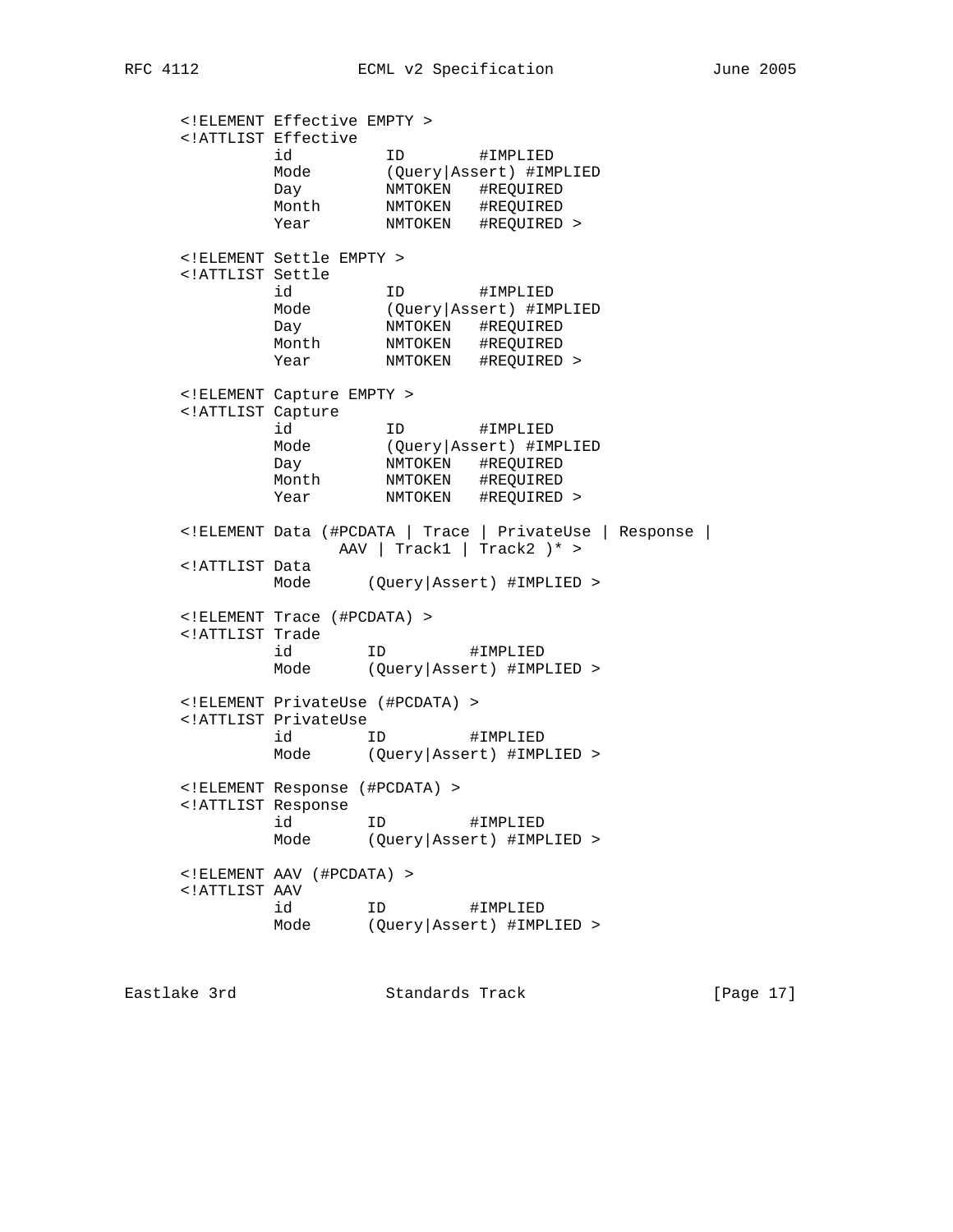<!ELEMENT Effective EMPTY > <!ATTLIST Effective id ID #IMPLIED Mode (Query|Assert) #IMPLIED Day NMTOKEN #REQUIRED Month NMTOKEN #REQUIRED Year NMTOKEN #REQUIRED > <!ELEMENT Settle EMPTY > <!ATTLIST Settle id ID #IMPLIED Mode (Query|Assert) #IMPLIED Day NMTOKEN #REQUIRED Month NMTOKEN #REQUIRED Year NMTOKEN #REQUIRED > <!ELEMENT Capture EMPTY > <!ATTLIST Capture id ID #IMPLIED Mode (Query|Assert) #IMPLIED Day NMTOKEN #REQUIRED Month NMTOKEN #REQUIRED Year NMTOKEN #REQUIRED > <!ELEMENT Data (#PCDATA | Trace | PrivateUse | Response | AAV | Track1 | Track2 )\* > <!ATTLIST Data Mode (Query|Assert) #IMPLIED > <!ELEMENT Trace (#PCDATA) > <!ATTLIST Trade id ID #IMPLIED Mode (Query|Assert) #IMPLIED > <!ELEMENT PrivateUse (#PCDATA) > <!ATTLIST PrivateUse id ID #IMPLIED Mode (Query|Assert) #IMPLIED > <!ELEMENT Response (#PCDATA) > <!ATTLIST Response id ID #IMPLIED Mode (Query|Assert) #IMPLIED > <!ELEMENT AAV (#PCDATA) > <!ATTLIST AAV id ID #IMPLIED Mode (Query|Assert) #IMPLIED >

Eastlake 3rd Standards Track [Page 17]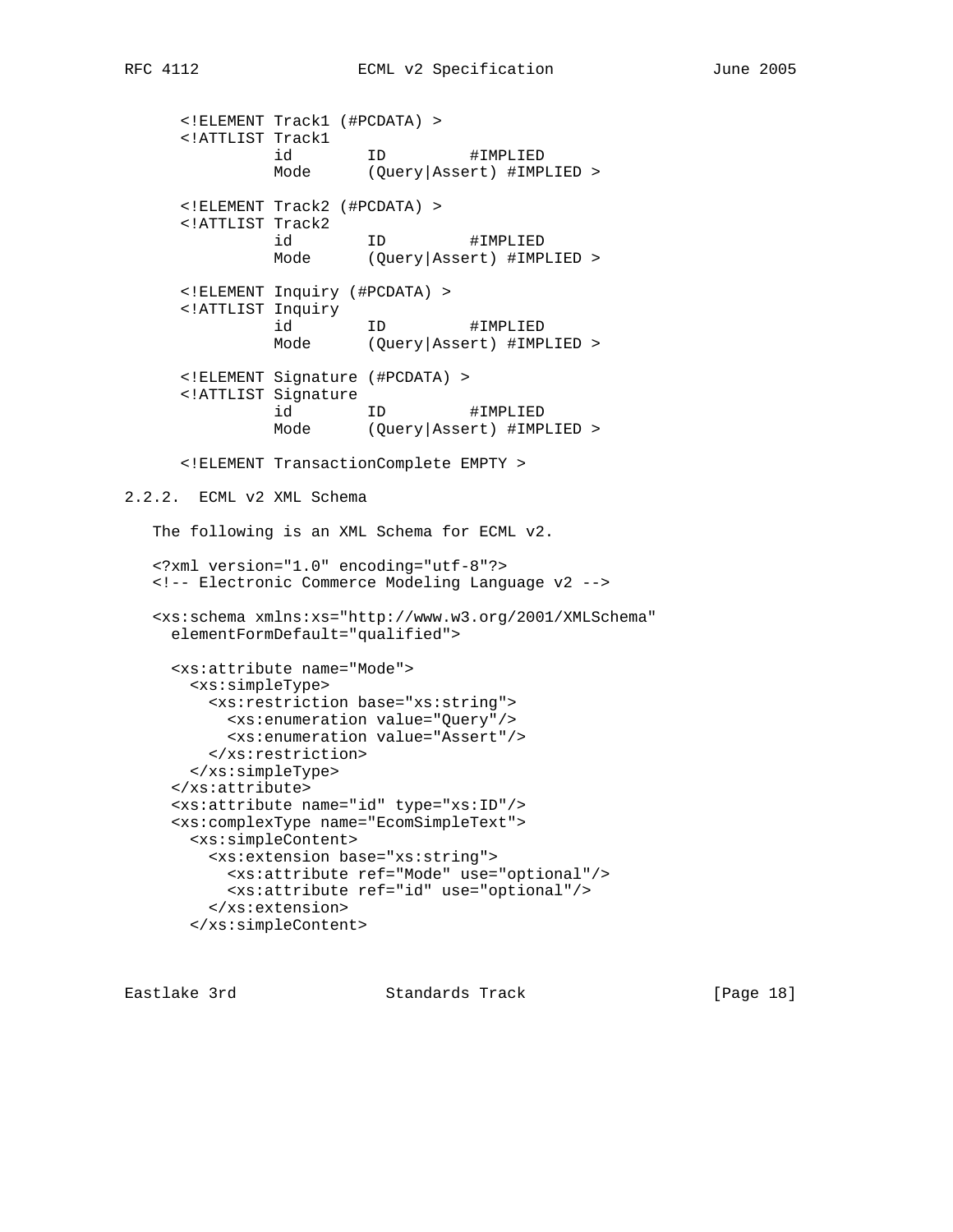<!ELEMENT Track1 (#PCDATA) > <!ATTLIST Track1 id ID #IMPLIED Mode (Query|Assert) #IMPLIED > <!ELEMENT Track2 (#PCDATA) > <!ATTLIST Track2 id ID #IMPLIED Mode (Query|Assert) #IMPLIED > <!ELEMENT Inquiry (#PCDATA) > <!ATTLIST Inquiry id ID #IMPLIED Mode (Query|Assert) #IMPLIED > <!ELEMENT Signature (#PCDATA) > <!ATTLIST Signature id ID #IMPLIED Mode (Query|Assert) #IMPLIED > <!ELEMENT TransactionComplete EMPTY > 2.2.2. ECML v2 XML Schema The following is an XML Schema for ECML v2. <?xml version="1.0" encoding="utf-8"?> <!-- Electronic Commerce Modeling Language v2 --> <xs:schema xmlns:xs="http://www.w3.org/2001/XMLSchema" elementFormDefault="qualified"> <xs:attribute name="Mode"> <xs:simpleType> <xs:restriction base="xs:string"> <xs:enumeration value="Query"/> <xs:enumeration value="Assert"/> </xs:restriction> </xs:simpleType> </xs:attribute> <xs:attribute name="id" type="xs:ID"/> <xs:complexType name="EcomSimpleText"> <xs:simpleContent> <xs:extension base="xs:string"> <xs:attribute ref="Mode" use="optional"/> <xs:attribute ref="id" use="optional"/> </xs:extension> </xs:simpleContent>

Eastlake 3rd Standards Track [Page 18]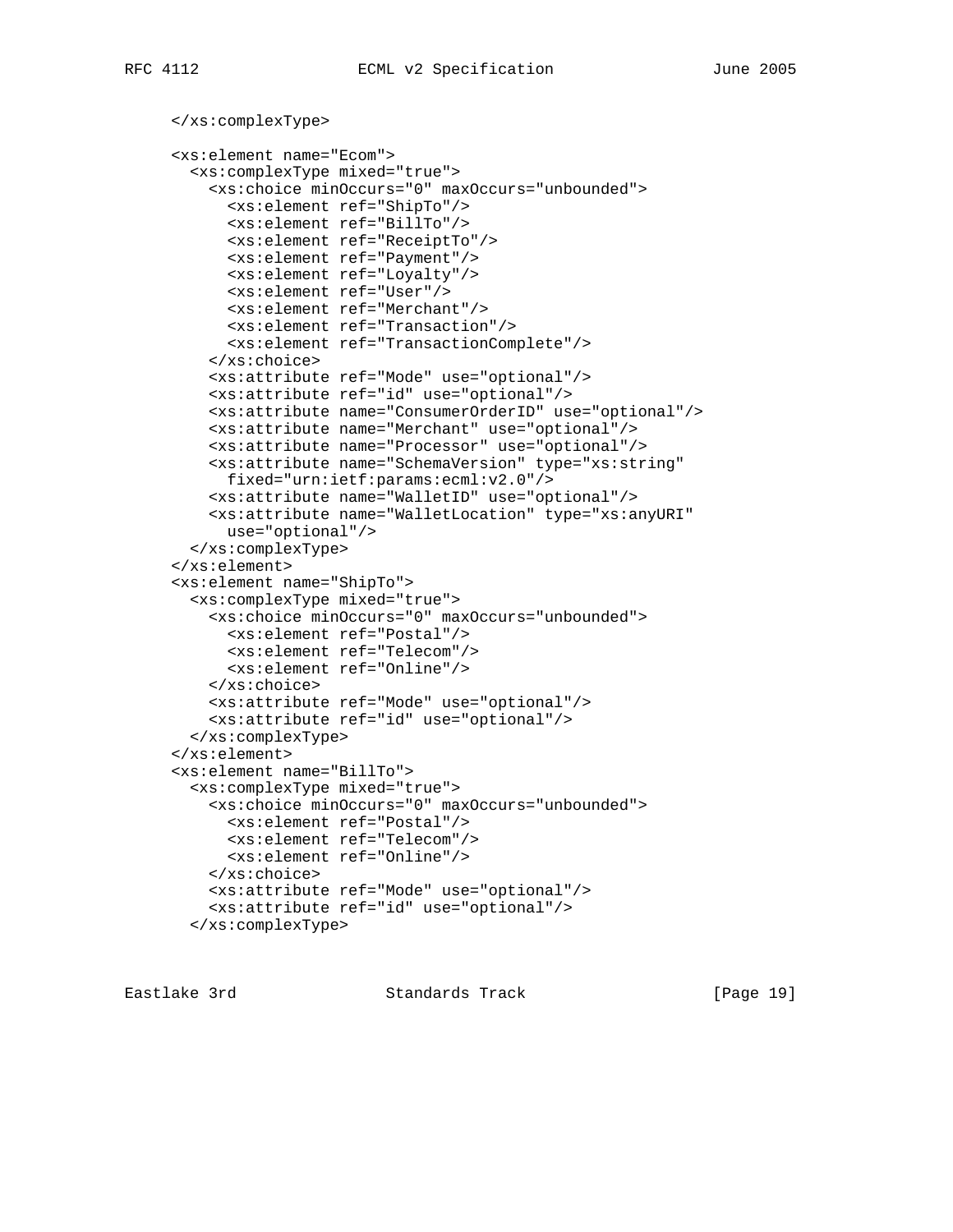```
 </xs:complexType>
<xs:element name="Ecom">
  <xs:complexType mixed="true">
    <xs:choice minOccurs="0" maxOccurs="unbounded">
      <xs:element ref="ShipTo"/>
      <xs:element ref="BillTo"/>
      <xs:element ref="ReceiptTo"/>
      <xs:element ref="Payment"/>
      <xs:element ref="Loyalty"/>
      <xs:element ref="User"/>
      <xs:element ref="Merchant"/>
      <xs:element ref="Transaction"/>
      <xs:element ref="TransactionComplete"/>
    </xs:choice>
    <xs:attribute ref="Mode" use="optional"/>
    <xs:attribute ref="id" use="optional"/>
    <xs:attribute name="ConsumerOrderID" use="optional"/>
    <xs:attribute name="Merchant" use="optional"/>
    <xs:attribute name="Processor" use="optional"/>
    <xs:attribute name="SchemaVersion" type="xs:string"
     fixed="urn:ietf:params:ecml:v2.0"/>
    <xs:attribute name="WalletID" use="optional"/>
    <xs:attribute name="WalletLocation" type="xs:anyURI"
      use="optional"/>
  </xs:complexType>
</xs:element>
<xs:element name="ShipTo">
  <xs:complexType mixed="true">
    <xs:choice minOccurs="0" maxOccurs="unbounded">
      <xs:element ref="Postal"/>
      <xs:element ref="Telecom"/>
      <xs:element ref="Online"/>
    </xs:choice>
    <xs:attribute ref="Mode" use="optional"/>
    <xs:attribute ref="id" use="optional"/>
  </xs:complexType>
</xs:element>
<xs:element name="BillTo">
  <xs:complexType mixed="true">
    <xs:choice minOccurs="0" maxOccurs="unbounded">
      <xs:element ref="Postal"/>
      <xs:element ref="Telecom"/>
      <xs:element ref="Online"/>
    </xs:choice>
    <xs:attribute ref="Mode" use="optional"/>
    <xs:attribute ref="id" use="optional"/>
  </xs:complexType>
```
Eastlake 3rd Standards Track [Page 19]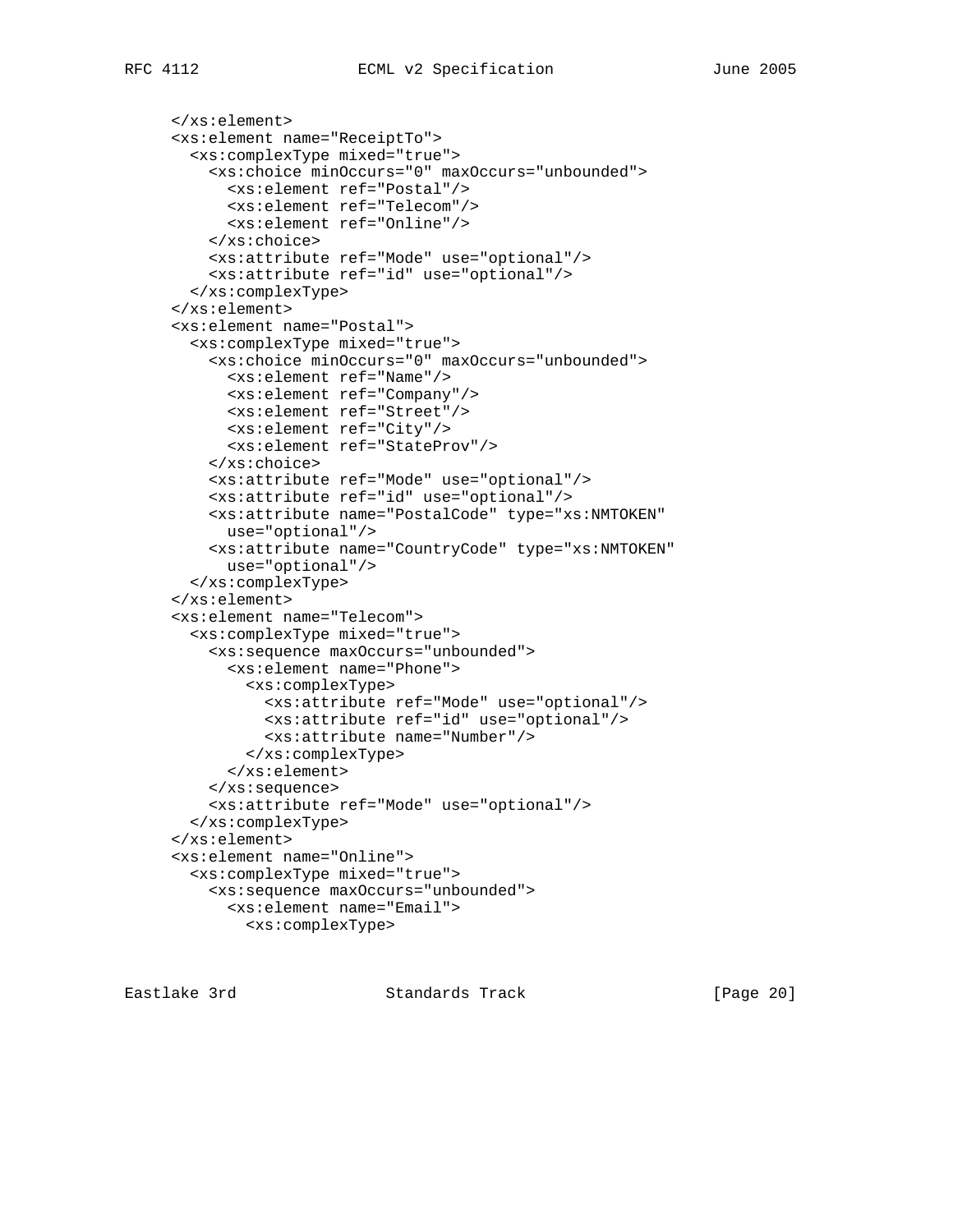```
 </xs:element>
<xs:element name="ReceiptTo">
  <xs:complexType mixed="true">
    <xs:choice minOccurs="0" maxOccurs="unbounded">
      <xs:element ref="Postal"/>
      <xs:element ref="Telecom"/>
     <xs:element ref="Online"/>
    </xs:choice>
   <xs:attribute ref="Mode" use="optional"/>
    <xs:attribute ref="id" use="optional"/>
 </xs:complexType>
</xs:element>
<xs:element name="Postal">
 <xs:complexType mixed="true">
   <xs:choice minOccurs="0" maxOccurs="unbounded">
      <xs:element ref="Name"/>
      <xs:element ref="Company"/>
      <xs:element ref="Street"/>
     <xs:element ref="City"/>
      <xs:element ref="StateProv"/>
    </xs:choice>
   <xs:attribute ref="Mode" use="optional"/>
   <xs:attribute ref="id" use="optional"/>
   <xs:attribute name="PostalCode" type="xs:NMTOKEN"
     use="optional"/>
    <xs:attribute name="CountryCode" type="xs:NMTOKEN"
     use="optional"/>
  </xs:complexType>
</xs:element>
<xs:element name="Telecom">
 <xs:complexType mixed="true">
    <xs:sequence maxOccurs="unbounded">
      <xs:element name="Phone">
        <xs:complexType>
          <xs:attribute ref="Mode" use="optional"/>
          <xs:attribute ref="id" use="optional"/>
          <xs:attribute name="Number"/>
        </xs:complexType>
      </xs:element>
    </xs:sequence>
    <xs:attribute ref="Mode" use="optional"/>
 </xs:complexType>
</xs:element>
<xs:element name="Online">
 <xs:complexType mixed="true">
   <xs:sequence maxOccurs="unbounded">
      <xs:element name="Email">
        <xs:complexType>
```
Eastlake 3rd Standards Track [Page 20]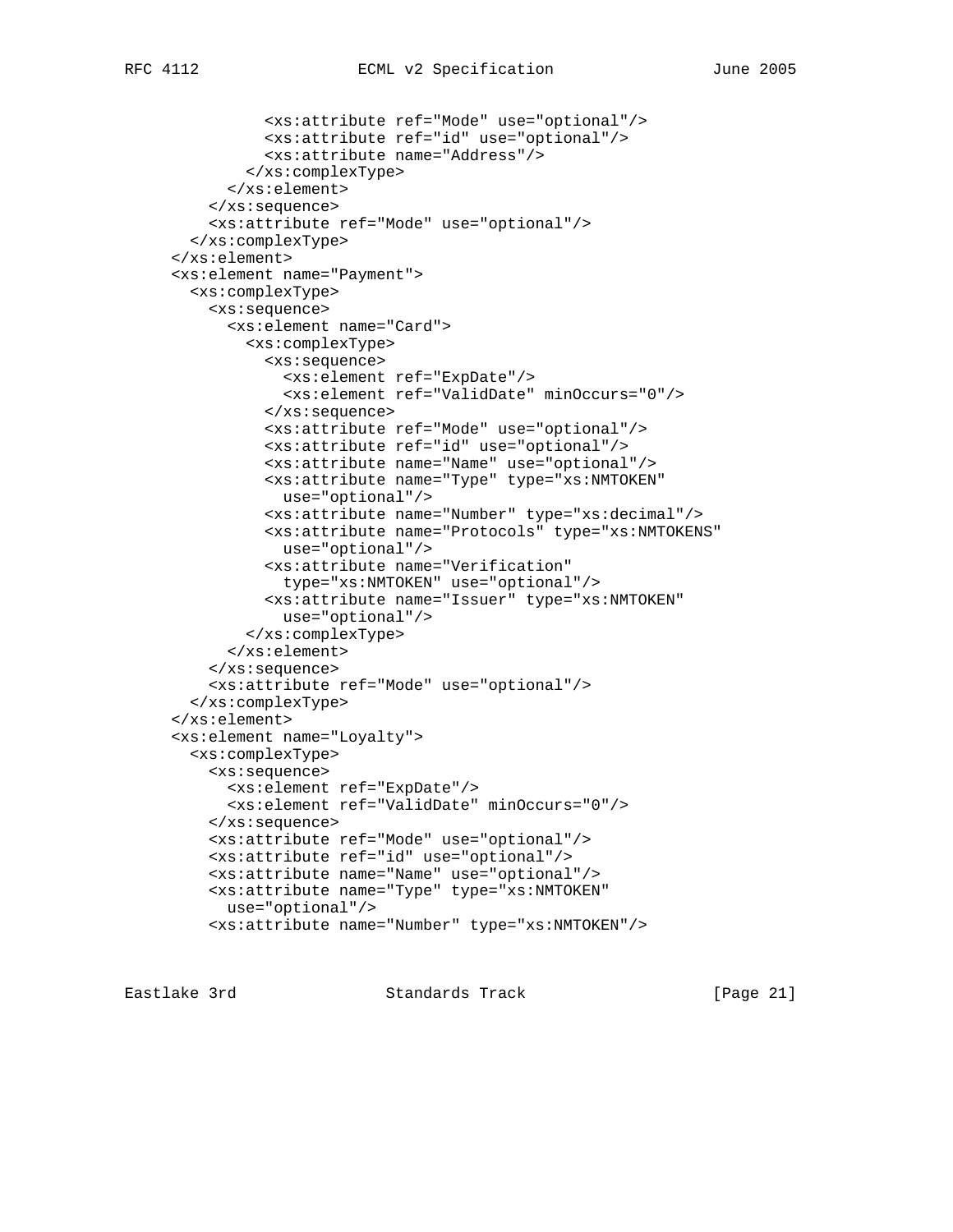```
 <xs:attribute ref="Mode" use="optional"/>
          <xs:attribute ref="id" use="optional"/>
          <xs:attribute name="Address"/>
        </xs:complexType>
      </xs:element>
    </xs:sequence>
   <xs:attribute ref="Mode" use="optional"/>
  </xs:complexType>
</xs:element>
<xs:element name="Payment">
 <xs:complexType>
    <xs:sequence>
      <xs:element name="Card">
        <xs:complexType>
          <xs:sequence>
            <xs:element ref="ExpDate"/>
            <xs:element ref="ValidDate" minOccurs="0"/>
          </xs:sequence>
          <xs:attribute ref="Mode" use="optional"/>
          <xs:attribute ref="id" use="optional"/>
          <xs:attribute name="Name" use="optional"/>
          <xs:attribute name="Type" type="xs:NMTOKEN"
           use="optional"/>
          <xs:attribute name="Number" type="xs:decimal"/>
          <xs:attribute name="Protocols" type="xs:NMTOKENS"
            use="optional"/>
          <xs:attribute name="Verification"
            type="xs:NMTOKEN" use="optional"/>
          <xs:attribute name="Issuer" type="xs:NMTOKEN"
           use="optional"/>
```
 </xs:complexType> </xs:element> </xs:sequence> <xs:attribute ref="Mode" use="optional"/> </xs:complexType> </xs:element> <xs:element name="Loyalty"> <xs:complexType> <xs:sequence> <xs:element ref="ExpDate"/> <xs:element ref="ValidDate" minOccurs="0"/> </xs:sequence> <xs:attribute ref="Mode" use="optional"/> <xs:attribute ref="id" use="optional"/> <xs:attribute name="Name" use="optional"/> <xs:attribute name="Type" type="xs:NMTOKEN" use="optional"/> <xs:attribute name="Number" type="xs:NMTOKEN"/>

Eastlake 3rd Standards Track [Page 21]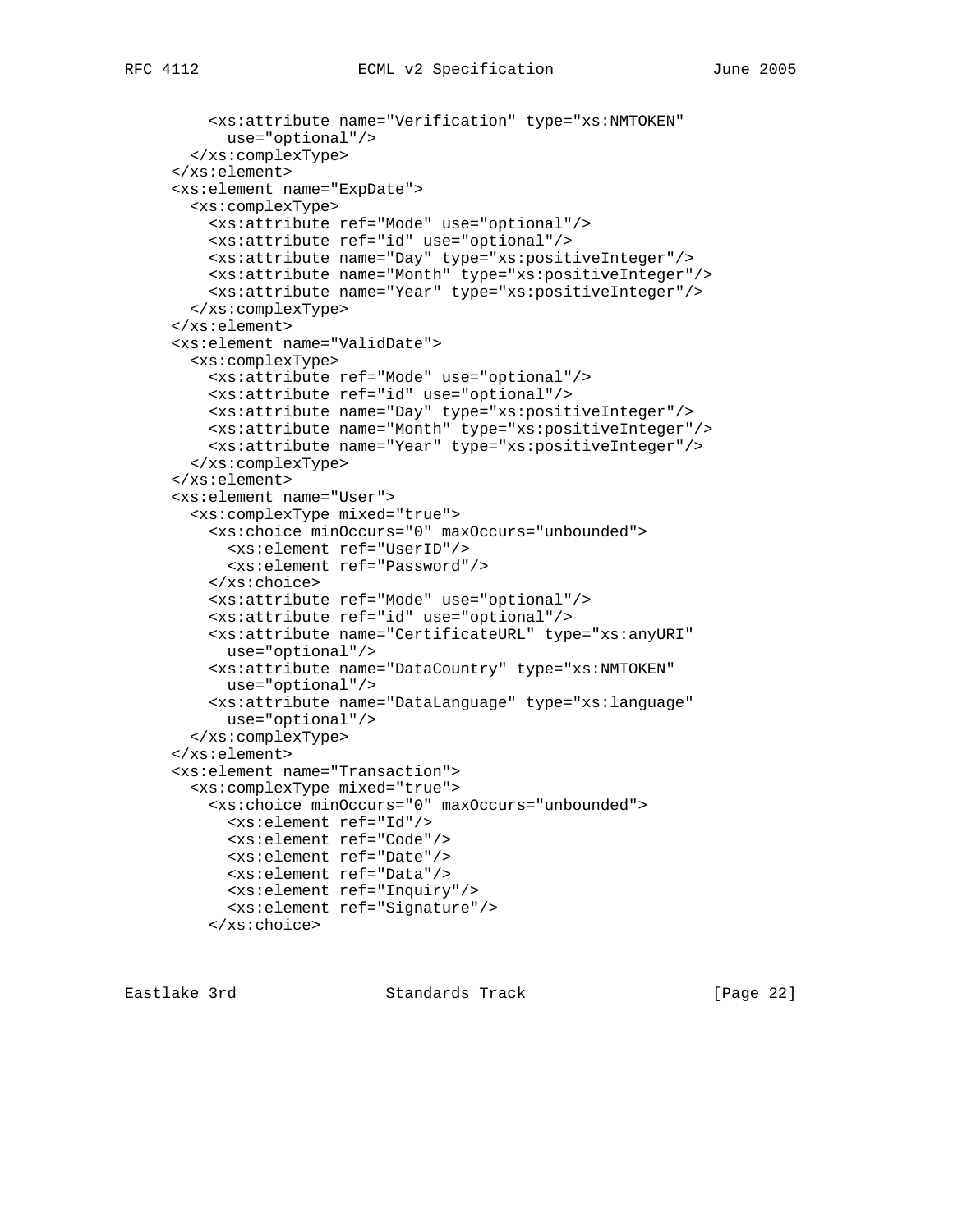```
 <xs:attribute name="Verification" type="xs:NMTOKEN"
     use="optional"/>
  </xs:complexType>
</xs:element>
<xs:element name="ExpDate">
 <xs:complexType>
   <xs:attribute ref="Mode" use="optional"/>
   <xs:attribute ref="id" use="optional"/>
   <xs:attribute name="Day" type="xs:positiveInteger"/>
   <xs:attribute name="Month" type="xs:positiveInteger"/>
    <xs:attribute name="Year" type="xs:positiveInteger"/>
 </xs:complexType>
</xs:element>
<xs:element name="ValidDate">
```

```
 <xs:complexType>
   <xs:attribute ref="Mode" use="optional"/>
   <xs:attribute ref="id" use="optional"/>
   <xs:attribute name="Day" type="xs:positiveInteger"/>
   <xs:attribute name="Month" type="xs:positiveInteger"/>
    <xs:attribute name="Year" type="xs:positiveInteger"/>
 </xs:complexType>
</xs:element>
<xs:element name="User">
 <xs:complexType mixed="true">
    <xs:choice minOccurs="0" maxOccurs="unbounded">
      <xs:element ref="UserID"/>
      <xs:element ref="Password"/>
    </xs:choice>
    <xs:attribute ref="Mode" use="optional"/>
   <xs:attribute ref="id" use="optional"/>
   <xs:attribute name="CertificateURL" type="xs:anyURI"
     use="optional"/>
   <xs:attribute name="DataCountry" type="xs:NMTOKEN"
     use="optional"/>
   <xs:attribute name="DataLanguage" type="xs:language"
     use="optional"/>
 </xs:complexType>
</xs:element>
<xs:element name="Transaction">
 <xs:complexType mixed="true">
    <xs:choice minOccurs="0" maxOccurs="unbounded">
      <xs:element ref="Id"/>
      <xs:element ref="Code"/>
      <xs:element ref="Date"/>
      <xs:element ref="Data"/>
     <xs:element ref="Inquiry"/>
      <xs:element ref="Signature"/>
```

```
 </xs:choice>
```
Eastlake 3rd Standards Track [Page 22]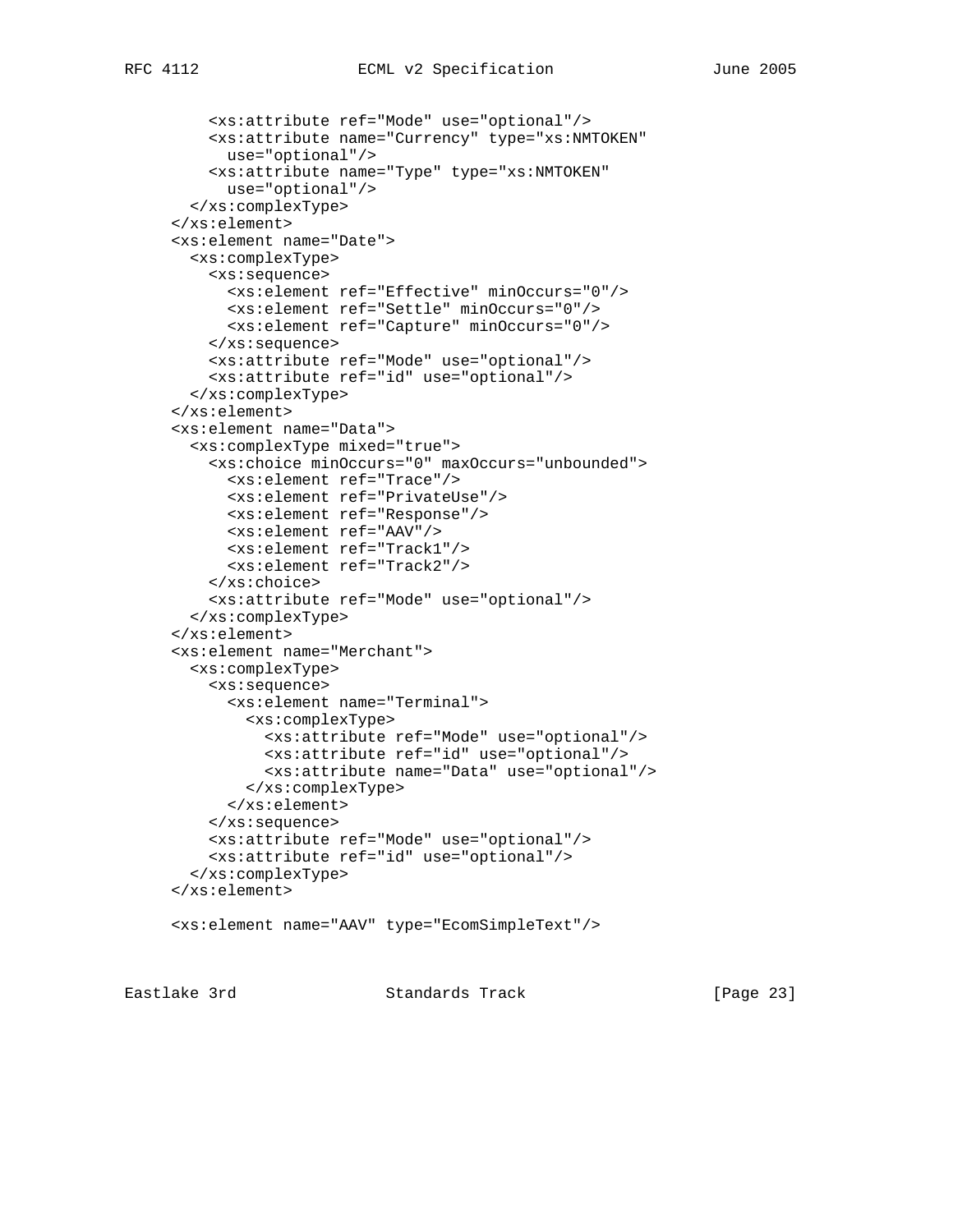```
 <xs:attribute ref="Mode" use="optional"/>
    <xs:attribute name="Currency" type="xs:NMTOKEN"
     use="optional"/>
    <xs:attribute name="Type" type="xs:NMTOKEN"
      use="optional"/>
  </xs:complexType>
</xs:element>
<xs:element name="Date">
  <xs:complexType>
    <xs:sequence>
      <xs:element ref="Effective" minOccurs="0"/>
      <xs:element ref="Settle" minOccurs="0"/>
      <xs:element ref="Capture" minOccurs="0"/>
    </xs:sequence>
    <xs:attribute ref="Mode" use="optional"/>
    <xs:attribute ref="id" use="optional"/>
  </xs:complexType>
</xs:element>
<xs:element name="Data">
  <xs:complexType mixed="true">
    <xs:choice minOccurs="0" maxOccurs="unbounded">
      <xs:element ref="Trace"/>
      <xs:element ref="PrivateUse"/>
      <xs:element ref="Response"/>
      <xs:element ref="AAV"/>
      <xs:element ref="Track1"/>
      <xs:element ref="Track2"/>
    </xs:choice>
    <xs:attribute ref="Mode" use="optional"/>
  </xs:complexType>
</xs:element>
<xs:element name="Merchant">
  <xs:complexType>
    <xs:sequence>
      <xs:element name="Terminal">
        <xs:complexType>
          <xs:attribute ref="Mode" use="optional"/>
          <xs:attribute ref="id" use="optional"/>
          <xs:attribute name="Data" use="optional"/>
        </xs:complexType>
      </xs:element>
    </xs:sequence>
    <xs:attribute ref="Mode" use="optional"/>
    <xs:attribute ref="id" use="optional"/>
  </xs:complexType>
</xs:element>
<xs:element name="AAV" type="EcomSimpleText"/>
```
Eastlake 3rd Standards Track [Page 23]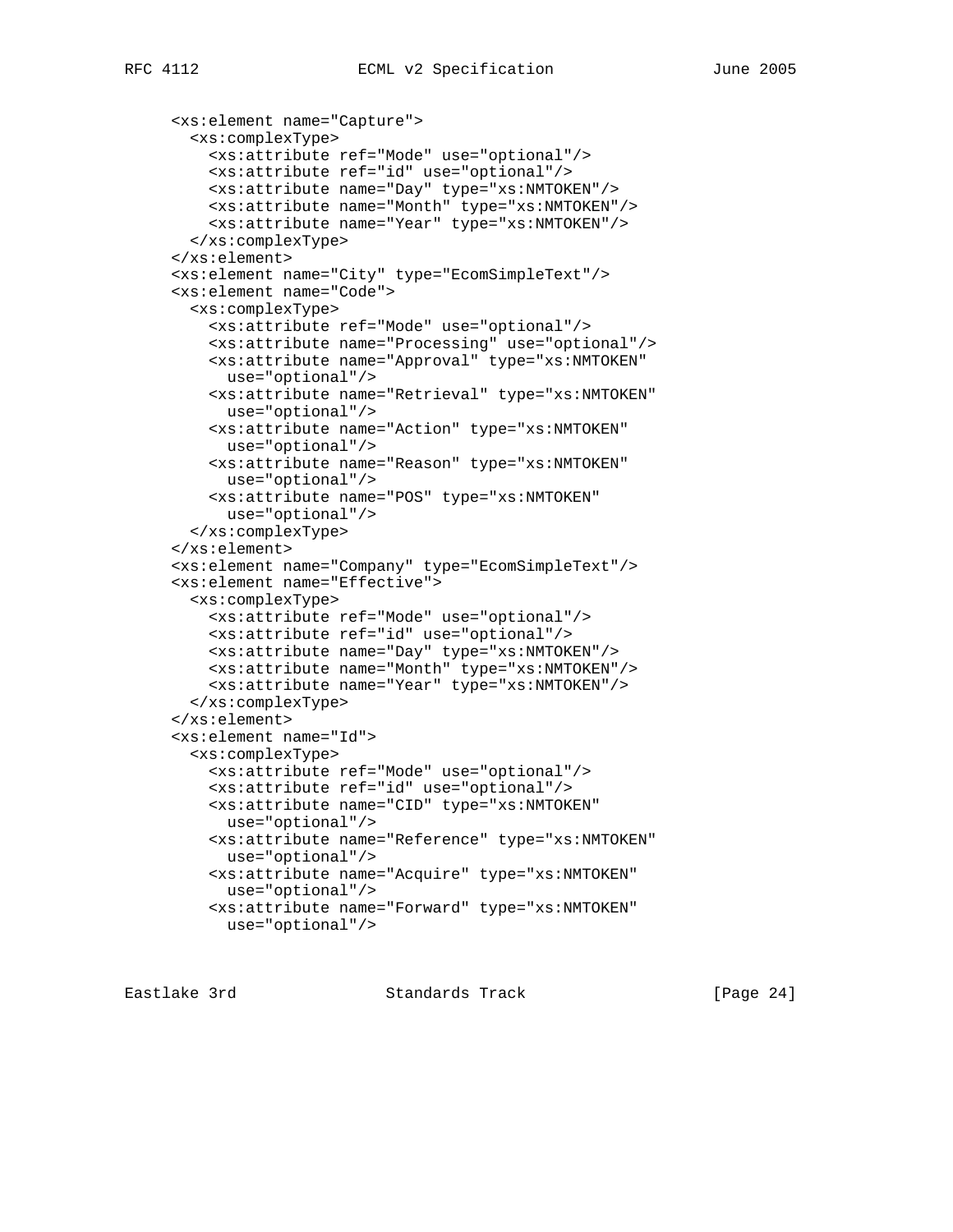```
 <xs:element name="Capture">
 <xs:complexType>
    <xs:attribute ref="Mode" use="optional"/>
   <xs:attribute ref="id" use="optional"/>
   <xs:attribute name="Day" type="xs:NMTOKEN"/>
   <xs:attribute name="Month" type="xs:NMTOKEN"/>
   <xs:attribute name="Year" type="xs:NMTOKEN"/>
 </xs:complexType>
</xs:element>
<xs:element name="City" type="EcomSimpleText"/>
<xs:element name="Code">
 <xs:complexType>
   <xs:attribute ref="Mode" use="optional"/>
    <xs:attribute name="Processing" use="optional"/>
   <xs:attribute name="Approval" type="xs:NMTOKEN"
     use="optional"/>
   <xs:attribute name="Retrieval" type="xs:NMTOKEN"
     use="optional"/>
   <xs:attribute name="Action" type="xs:NMTOKEN"
     use="optional"/>
   <xs:attribute name="Reason" type="xs:NMTOKEN"
     use="optional"/>
    <xs:attribute name="POS" type="xs:NMTOKEN"
     use="optional"/>
 </xs:complexType>
</xs:element>
<xs:element name="Company" type="EcomSimpleText"/>
<xs:element name="Effective">
 <xs:complexType>
   <xs:attribute ref="Mode" use="optional"/>
   <xs:attribute ref="id" use="optional"/>
   <xs:attribute name="Day" type="xs:NMTOKEN"/>
   <xs:attribute name="Month" type="xs:NMTOKEN"/>
   <xs:attribute name="Year" type="xs:NMTOKEN"/>
 </xs:complexType>
</xs:element>
<xs:element name="Id">
 <xs:complexType>
    <xs:attribute ref="Mode" use="optional"/>
   <xs:attribute ref="id" use="optional"/>
   <xs:attribute name="CID" type="xs:NMTOKEN"
     use="optional"/>
   <xs:attribute name="Reference" type="xs:NMTOKEN"
     use="optional"/>
    <xs:attribute name="Acquire" type="xs:NMTOKEN"
     use="optional"/>
    <xs:attribute name="Forward" type="xs:NMTOKEN"
     use="optional"/>
```
Eastlake 3rd Standards Track [Page 24]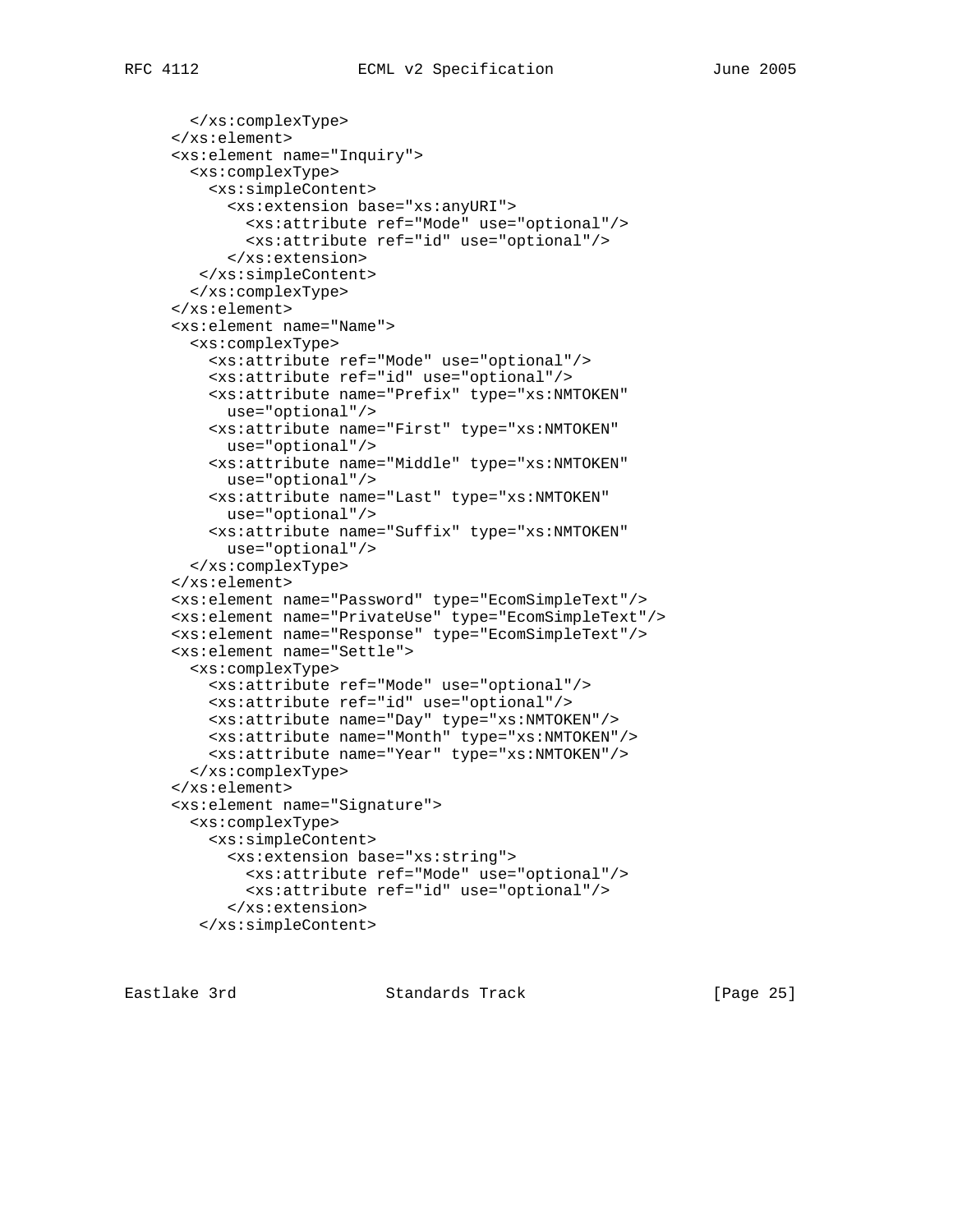```
 </xs:complexType>
</xs:element>
<xs:element name="Inquiry">
  <xs:complexType>
    <xs:simpleContent>
      <xs:extension base="xs:anyURI">
        <xs:attribute ref="Mode" use="optional"/>
        <xs:attribute ref="id" use="optional"/>
      </xs:extension>
   </xs:simpleContent>
  </xs:complexType>
</xs:element>
<xs:element name="Name">
  <xs:complexType>
    <xs:attribute ref="Mode" use="optional"/>
    <xs:attribute ref="id" use="optional"/>
    <xs:attribute name="Prefix" type="xs:NMTOKEN"
     use="optional"/>
    <xs:attribute name="First" type="xs:NMTOKEN"
     use="optional"/>
    <xs:attribute name="Middle" type="xs:NMTOKEN"
     use="optional"/>
    <xs:attribute name="Last" type="xs:NMTOKEN"
     use="optional"/>
    <xs:attribute name="Suffix" type="xs:NMTOKEN"
      use="optional"/>
  </xs:complexType>
</xs:element>
<xs:element name="Password" type="EcomSimpleText"/>
<xs:element name="PrivateUse" type="EcomSimpleText"/>
<xs:element name="Response" type="EcomSimpleText"/>
<xs:element name="Settle">
  <xs:complexType>
    <xs:attribute ref="Mode" use="optional"/>
    <xs:attribute ref="id" use="optional"/>
    <xs:attribute name="Day" type="xs:NMTOKEN"/>
    <xs:attribute name="Month" type="xs:NMTOKEN"/>
    <xs:attribute name="Year" type="xs:NMTOKEN"/>
  </xs:complexType>
</xs:element>
<xs:element name="Signature">
  <xs:complexType>
    <xs:simpleContent>
      <xs:extension base="xs:string">
        <xs:attribute ref="Mode" use="optional"/>
        <xs:attribute ref="id" use="optional"/>
      </xs:extension>
   </xs:simpleContent>
```
Eastlake 3rd Standards Track [Page 25]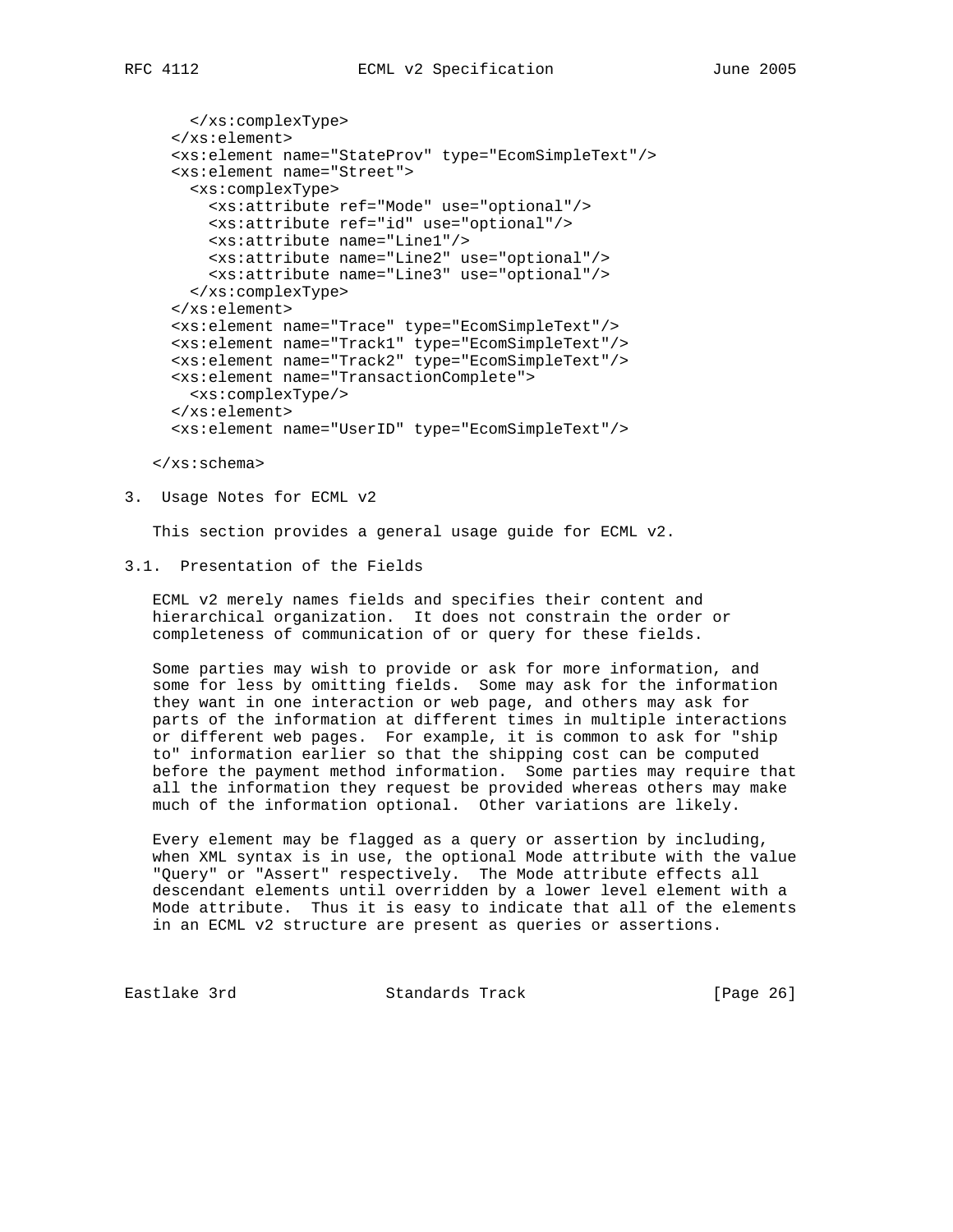```
 </xs:complexType>
</xs:element>
<xs:element name="StateProv" type="EcomSimpleText"/>
<xs:element name="Street">
  <xs:complexType>
    <xs:attribute ref="Mode" use="optional"/>
   <xs:attribute ref="id" use="optional"/>
   <xs:attribute name="Line1"/>
    <xs:attribute name="Line2" use="optional"/>
    <xs:attribute name="Line3" use="optional"/>
  </xs:complexType>
</xs:element>
<xs:element name="Trace" type="EcomSimpleText"/>
<xs:element name="Track1" type="EcomSimpleText"/>
<xs:element name="Track2" type="EcomSimpleText"/>
<xs:element name="TransactionComplete">
 <xs:complexType/>
</xs:element>
<xs:element name="UserID" type="EcomSimpleText"/>
```
</xs:schema>

#### 3. Usage Notes for ECML v2

This section provides a general usage guide for ECML v2.

# 3.1. Presentation of the Fields

 ECML v2 merely names fields and specifies their content and hierarchical organization. It does not constrain the order or completeness of communication of or query for these fields.

 Some parties may wish to provide or ask for more information, and some for less by omitting fields. Some may ask for the information they want in one interaction or web page, and others may ask for parts of the information at different times in multiple interactions or different web pages. For example, it is common to ask for "ship to" information earlier so that the shipping cost can be computed before the payment method information. Some parties may require that all the information they request be provided whereas others may make much of the information optional. Other variations are likely.

 Every element may be flagged as a query or assertion by including, when XML syntax is in use, the optional Mode attribute with the value "Query" or "Assert" respectively. The Mode attribute effects all descendant elements until overridden by a lower level element with a Mode attribute. Thus it is easy to indicate that all of the elements in an ECML v2 structure are present as queries or assertions.

Eastlake 3rd Standards Track [Page 26]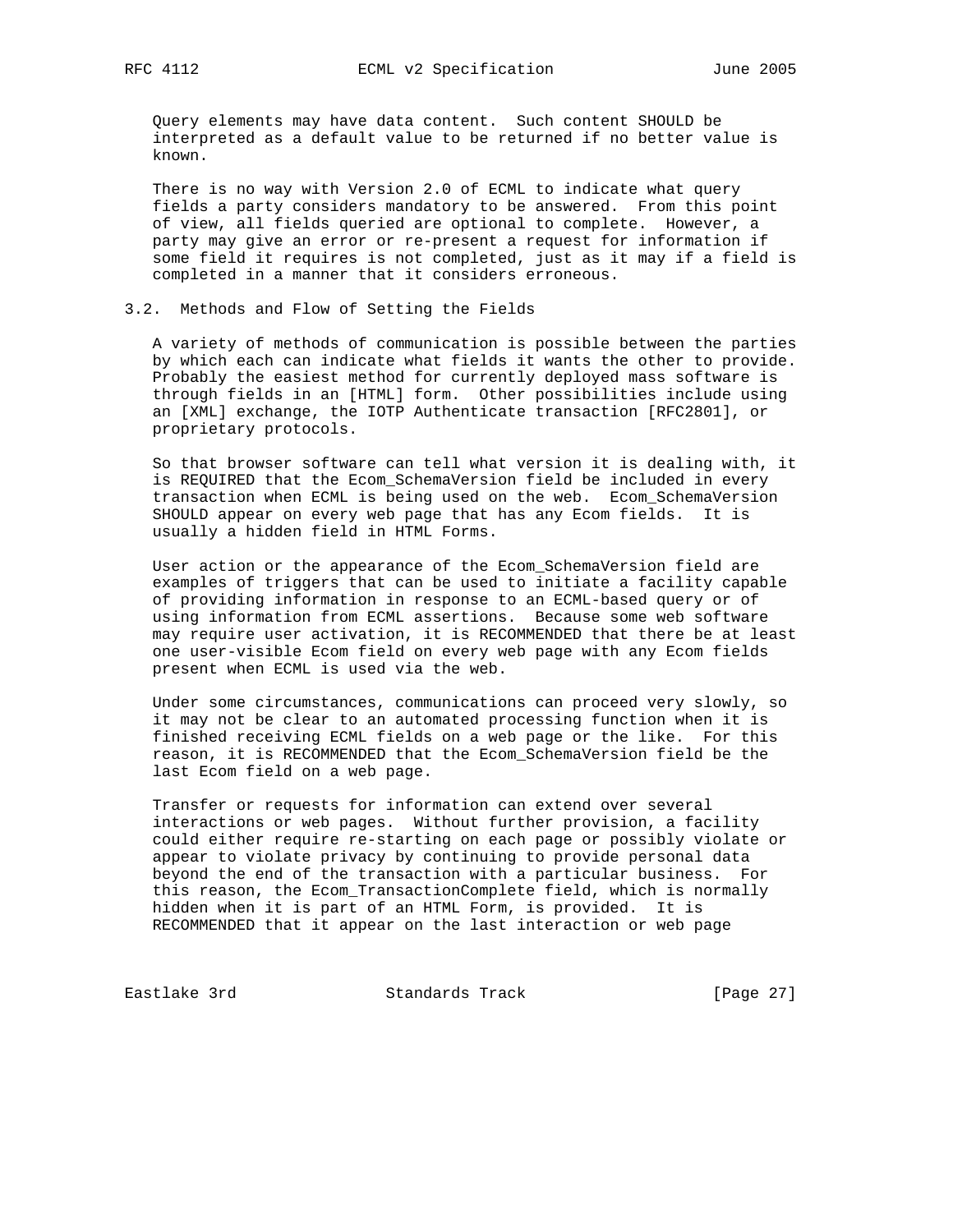Query elements may have data content. Such content SHOULD be interpreted as a default value to be returned if no better value is known.

 There is no way with Version 2.0 of ECML to indicate what query fields a party considers mandatory to be answered. From this point of view, all fields queried are optional to complete. However, a party may give an error or re-present a request for information if some field it requires is not completed, just as it may if a field is completed in a manner that it considers erroneous.

### 3.2. Methods and Flow of Setting the Fields

 A variety of methods of communication is possible between the parties by which each can indicate what fields it wants the other to provide. Probably the easiest method for currently deployed mass software is through fields in an [HTML] form. Other possibilities include using an [XML] exchange, the IOTP Authenticate transaction [RFC2801], or proprietary protocols.

 So that browser software can tell what version it is dealing with, it is REQUIRED that the Ecom\_SchemaVersion field be included in every transaction when ECML is being used on the web. Ecom\_SchemaVersion SHOULD appear on every web page that has any Ecom fields. It is usually a hidden field in HTML Forms.

 User action or the appearance of the Ecom\_SchemaVersion field are examples of triggers that can be used to initiate a facility capable of providing information in response to an ECML-based query or of using information from ECML assertions. Because some web software may require user activation, it is RECOMMENDED that there be at least one user-visible Ecom field on every web page with any Ecom fields present when ECML is used via the web.

 Under some circumstances, communications can proceed very slowly, so it may not be clear to an automated processing function when it is finished receiving ECML fields on a web page or the like. For this reason, it is RECOMMENDED that the Ecom\_SchemaVersion field be the last Ecom field on a web page.

 Transfer or requests for information can extend over several interactions or web pages. Without further provision, a facility could either require re-starting on each page or possibly violate or appear to violate privacy by continuing to provide personal data beyond the end of the transaction with a particular business. For this reason, the Ecom\_TransactionComplete field, which is normally hidden when it is part of an HTML Form, is provided. It is RECOMMENDED that it appear on the last interaction or web page

Eastlake 3rd Standards Track [Page 27]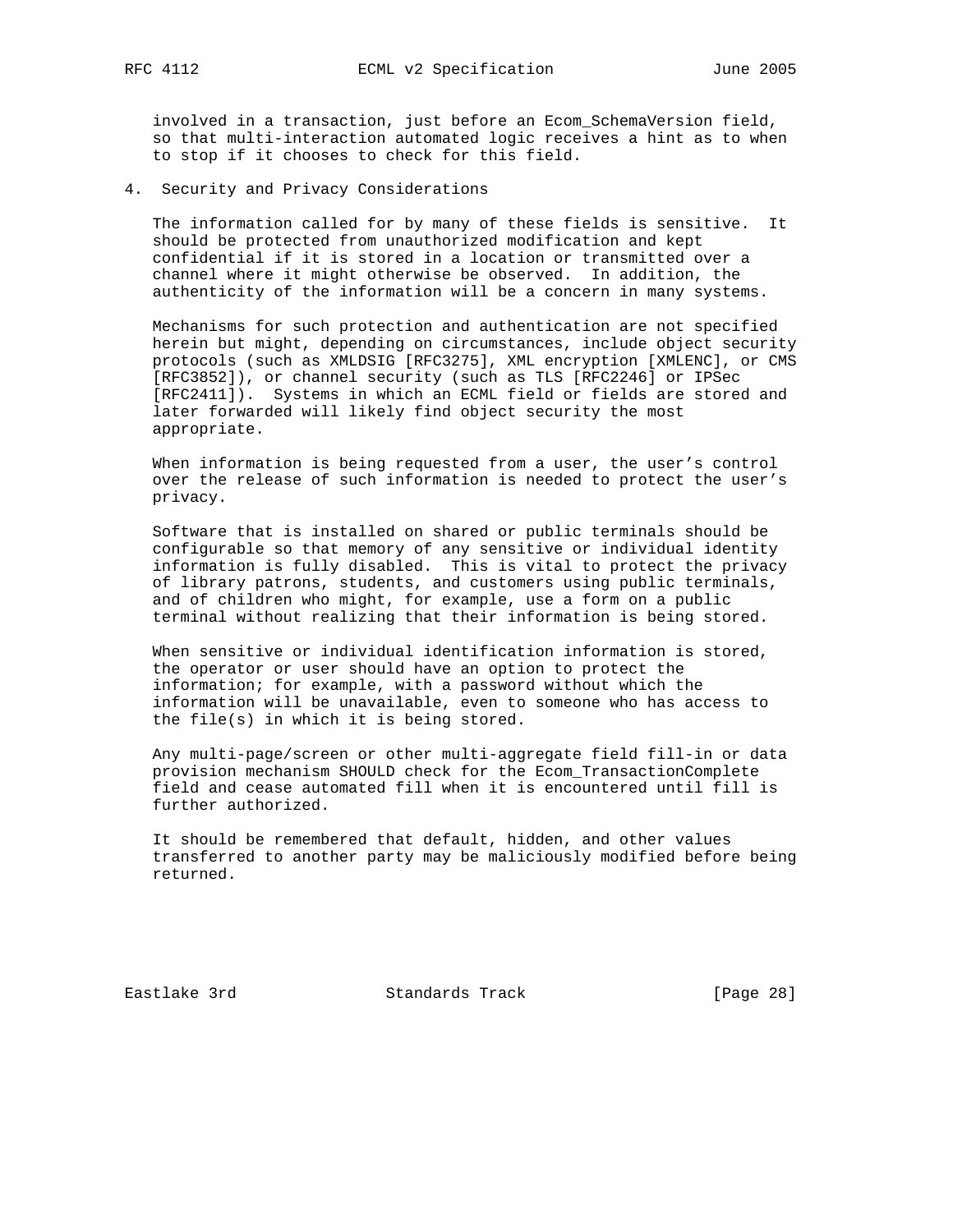involved in a transaction, just before an Ecom\_SchemaVersion field, so that multi-interaction automated logic receives a hint as to when to stop if it chooses to check for this field.

4. Security and Privacy Considerations

 The information called for by many of these fields is sensitive. It should be protected from unauthorized modification and kept confidential if it is stored in a location or transmitted over a channel where it might otherwise be observed. In addition, the authenticity of the information will be a concern in many systems.

 Mechanisms for such protection and authentication are not specified herein but might, depending on circumstances, include object security protocols (such as XMLDSIG [RFC3275], XML encryption [XMLENC], or CMS [RFC3852]), or channel security (such as TLS [RFC2246] or IPSec [RFC2411]). Systems in which an ECML field or fields are stored and later forwarded will likely find object security the most appropriate.

 When information is being requested from a user, the user's control over the release of such information is needed to protect the user's privacy.

 Software that is installed on shared or public terminals should be configurable so that memory of any sensitive or individual identity information is fully disabled. This is vital to protect the privacy of library patrons, students, and customers using public terminals, and of children who might, for example, use a form on a public terminal without realizing that their information is being stored.

 When sensitive or individual identification information is stored, the operator or user should have an option to protect the information; for example, with a password without which the information will be unavailable, even to someone who has access to the file(s) in which it is being stored.

 Any multi-page/screen or other multi-aggregate field fill-in or data provision mechanism SHOULD check for the Ecom\_TransactionComplete field and cease automated fill when it is encountered until fill is further authorized.

 It should be remembered that default, hidden, and other values transferred to another party may be maliciously modified before being returned.

Eastlake 3rd Standards Track [Page 28]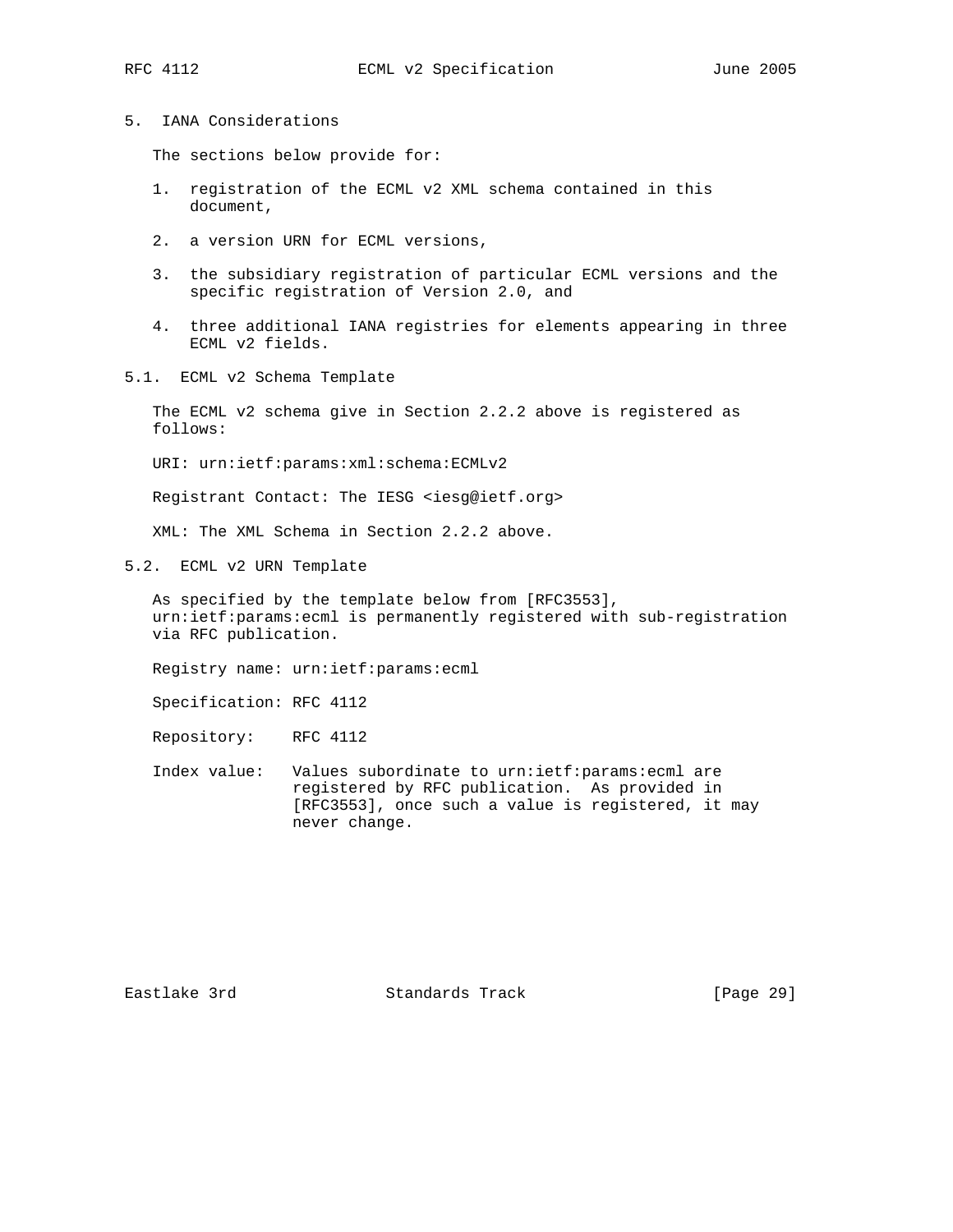- 
- 5. IANA Considerations

The sections below provide for:

- 1. registration of the ECML v2 XML schema contained in this document,
- 2. a version URN for ECML versions,
- 3. the subsidiary registration of particular ECML versions and the specific registration of Version 2.0, and
- 4. three additional IANA registries for elements appearing in three ECML v2 fields.
- 5.1. ECML v2 Schema Template

 The ECML v2 schema give in Section 2.2.2 above is registered as follows:

URI: urn:ietf:params:xml:schema:ECMLv2

Registrant Contact: The IESG <iesg@ietf.org>

XML: The XML Schema in Section 2.2.2 above.

5.2. ECML v2 URN Template

 As specified by the template below from [RFC3553], urn:ietf:params:ecml is permanently registered with sub-registration via RFC publication.

Registry name: urn:ietf:params:ecml

Specification: RFC 4112

Repository: RFC 4112

 Index value: Values subordinate to urn:ietf:params:ecml are registered by RFC publication. As provided in [RFC3553], once such a value is registered, it may never change.

Eastlake 3rd Standards Track [Page 29]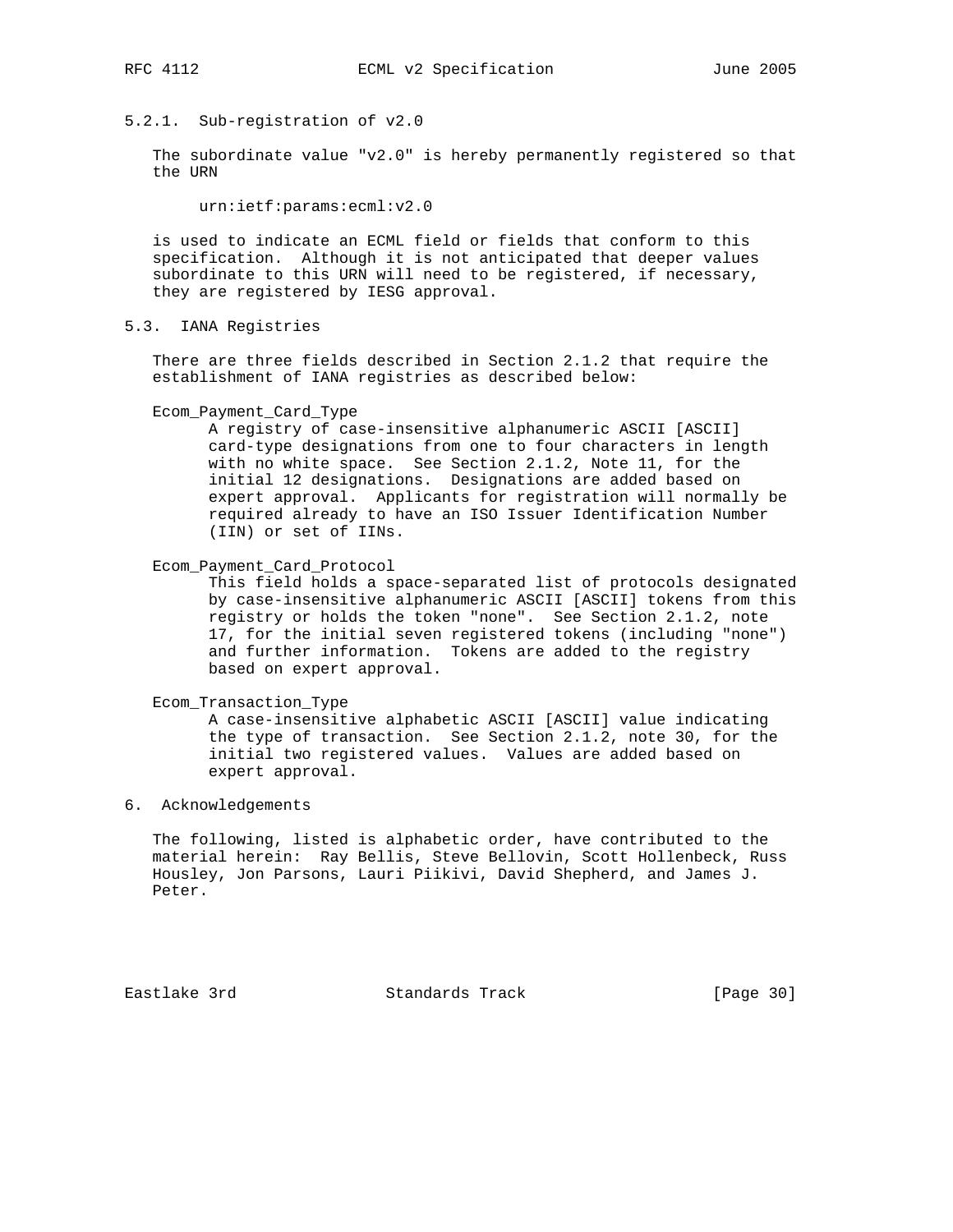### 5.2.1. Sub-registration of v2.0

 The subordinate value "v2.0" is hereby permanently registered so that the URN

urn:ietf:params:ecml:v2.0

 is used to indicate an ECML field or fields that conform to this specification. Although it is not anticipated that deeper values subordinate to this URN will need to be registered, if necessary, they are registered by IESG approval.

5.3. IANA Registries

 There are three fields described in Section 2.1.2 that require the establishment of IANA registries as described below:

Ecom\_Payment\_Card\_Type

 A registry of case-insensitive alphanumeric ASCII [ASCII] card-type designations from one to four characters in length with no white space. See Section 2.1.2, Note 11, for the initial 12 designations. Designations are added based on expert approval. Applicants for registration will normally be required already to have an ISO Issuer Identification Number (IIN) or set of IINs.

Ecom\_Payment\_Card\_Protocol

 This field holds a space-separated list of protocols designated by case-insensitive alphanumeric ASCII [ASCII] tokens from this registry or holds the token "none". See Section 2.1.2, note 17, for the initial seven registered tokens (including "none") and further information. Tokens are added to the registry based on expert approval.

Ecom\_Transaction\_Type

 A case-insensitive alphabetic ASCII [ASCII] value indicating the type of transaction. See Section 2.1.2, note 30, for the initial two registered values. Values are added based on expert approval.

# 6. Acknowledgements

 The following, listed is alphabetic order, have contributed to the material herein: Ray Bellis, Steve Bellovin, Scott Hollenbeck, Russ Housley, Jon Parsons, Lauri Piikivi, David Shepherd, and James J. Peter.

Eastlake 3rd Standards Track [Page 30]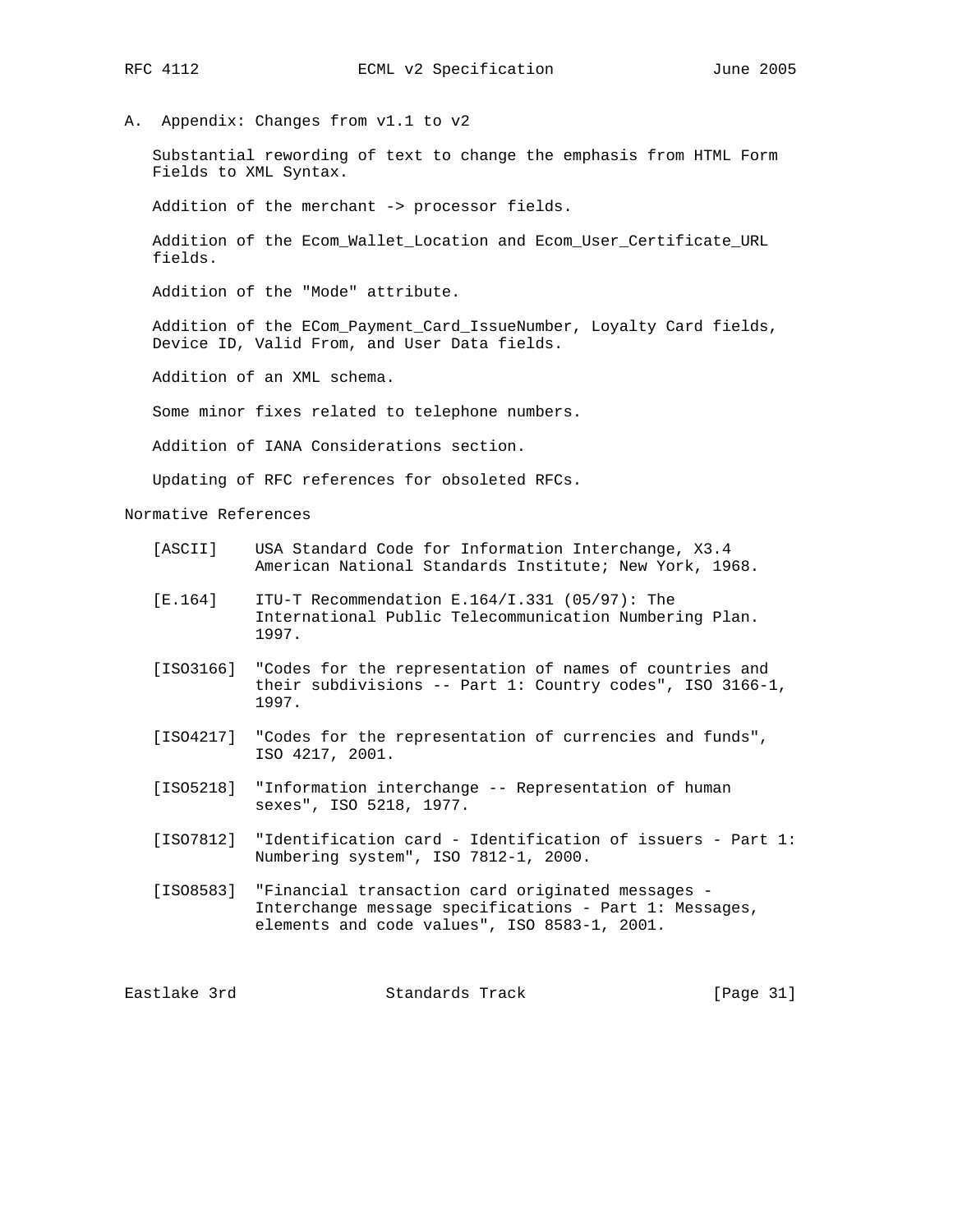- 
- A. Appendix: Changes from v1.1 to v2

 Substantial rewording of text to change the emphasis from HTML Form Fields to XML Syntax.

Addition of the merchant -> processor fields.

 Addition of the Ecom\_Wallet\_Location and Ecom\_User\_Certificate\_URL fields.

Addition of the "Mode" attribute.

 Addition of the ECom\_Payment\_Card\_IssueNumber, Loyalty Card fields, Device ID, Valid From, and User Data fields.

Addition of an XML schema.

Some minor fixes related to telephone numbers.

Addition of IANA Considerations section.

Updating of RFC references for obsoleted RFCs.

Normative References

| [ASCII] |  | USA Standard Code for Information Interchange, X3.4    |  |
|---------|--|--------------------------------------------------------|--|
|         |  | American National Standards Institute; New York, 1968. |  |

- [E.164] ITU-T Recommendation E.164/I.331 (05/97): The International Public Telecommunication Numbering Plan. 1997.
- [ISO3166] "Codes for the representation of names of countries and their subdivisions -- Part 1: Country codes", ISO 3166-1, 1997.
- [ISO4217] "Codes for the representation of currencies and funds", ISO 4217, 2001.
- [ISO5218] "Information interchange -- Representation of human sexes", ISO 5218, 1977.
- [ISO7812] "Identification card Identification of issuers Part 1: Numbering system", ISO 7812-1, 2000.
- [ISO8583] "Financial transaction card originated messages Interchange message specifications - Part 1: Messages, elements and code values", ISO 8583-1, 2001.

Eastlake 3rd Standards Track [Page 31]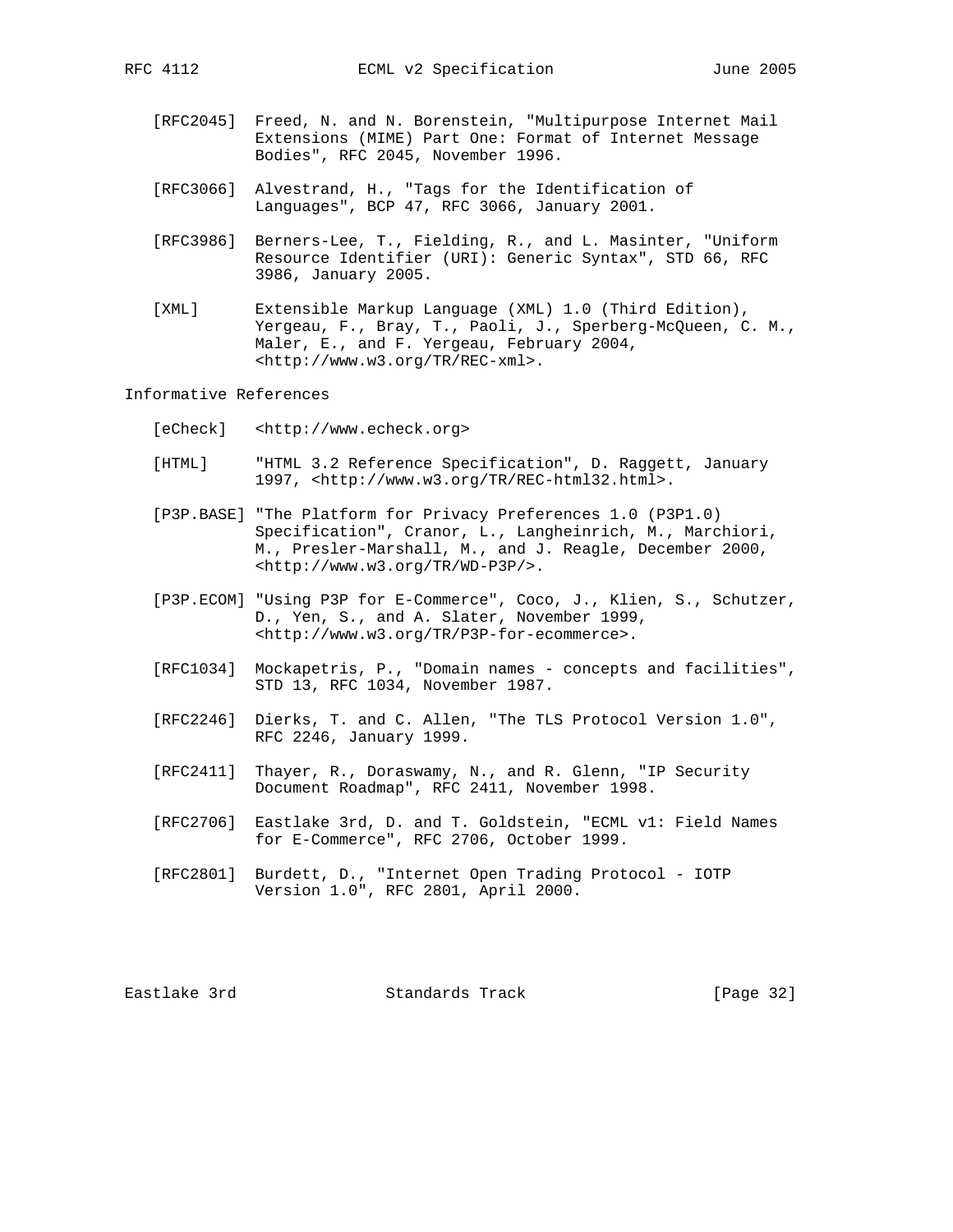- [RFC2045] Freed, N. and N. Borenstein, "Multipurpose Internet Mail Extensions (MIME) Part One: Format of Internet Message Bodies", RFC 2045, November 1996.
- [RFC3066] Alvestrand, H., "Tags for the Identification of Languages", BCP 47, RFC 3066, January 2001.
- [RFC3986] Berners-Lee, T., Fielding, R., and L. Masinter, "Uniform Resource Identifier (URI): Generic Syntax", STD 66, RFC 3986, January 2005.
- [XML] Extensible Markup Language (XML) 1.0 (Third Edition), Yergeau, F., Bray, T., Paoli, J., Sperberg-McQueen, C. M., Maler, E., and F. Yergeau, February 2004, <http://www.w3.org/TR/REC-xml>.

Informative References

- [eCheck] <http://www.echeck.org>
- [HTML] "HTML 3.2 Reference Specification", D. Raggett, January 1997, <http://www.w3.org/TR/REC-html32.html>.
- [P3P.BASE] "The Platform for Privacy Preferences 1.0 (P3P1.0) Specification", Cranor, L., Langheinrich, M., Marchiori, M., Presler-Marshall, M., and J. Reagle, December 2000, <http://www.w3.org/TR/WD-P3P/>.
- [P3P.ECOM] "Using P3P for E-Commerce", Coco, J., Klien, S., Schutzer, D., Yen, S., and A. Slater, November 1999, <http://www.w3.org/TR/P3P-for-ecommerce>.
- [RFC1034] Mockapetris, P., "Domain names concepts and facilities", STD 13, RFC 1034, November 1987.
- [RFC2246] Dierks, T. and C. Allen, "The TLS Protocol Version 1.0", RFC 2246, January 1999.
- [RFC2411] Thayer, R., Doraswamy, N., and R. Glenn, "IP Security Document Roadmap", RFC 2411, November 1998.
- [RFC2706] Eastlake 3rd, D. and T. Goldstein, "ECML v1: Field Names for E-Commerce", RFC 2706, October 1999.
- [RFC2801] Burdett, D., "Internet Open Trading Protocol IOTP Version 1.0", RFC 2801, April 2000.

Eastlake 3rd Standards Track [Page 32]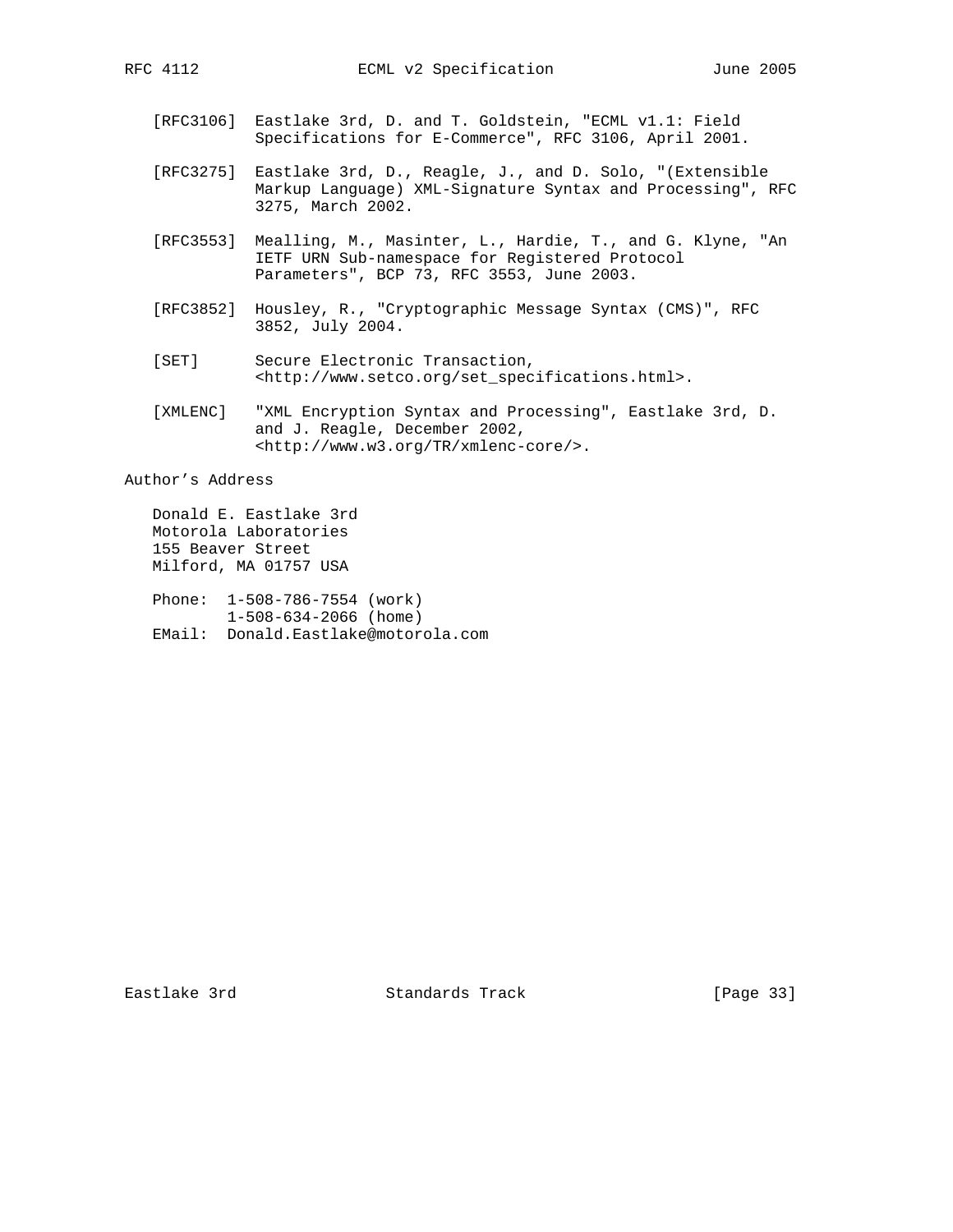- [RFC3106] Eastlake 3rd, D. and T. Goldstein, "ECML v1.1: Field Specifications for E-Commerce", RFC 3106, April 2001.
- [RFC3275] Eastlake 3rd, D., Reagle, J., and D. Solo, "(Extensible Markup Language) XML-Signature Syntax and Processing", RFC 3275, March 2002.
- [RFC3553] Mealling, M., Masinter, L., Hardie, T., and G. Klyne, "An IETF URN Sub-namespace for Registered Protocol Parameters", BCP 73, RFC 3553, June 2003.
- [RFC3852] Housley, R., "Cryptographic Message Syntax (CMS)", RFC 3852, July 2004.
- [SET] Secure Electronic Transaction, <http://www.setco.org/set\_specifications.html>.
- [XMLENC] "XML Encryption Syntax and Processing", Eastlake 3rd, D. and J. Reagle, December 2002, <http://www.w3.org/TR/xmlenc-core/>.

Author's Address

 Donald E. Eastlake 3rd Motorola Laboratories 155 Beaver Street Milford, MA 01757 USA

 Phone: 1-508-786-7554 (work) 1-508-634-2066 (home) EMail: Donald.Eastlake@motorola.com

Eastlake 3rd Standards Track [Page 33]